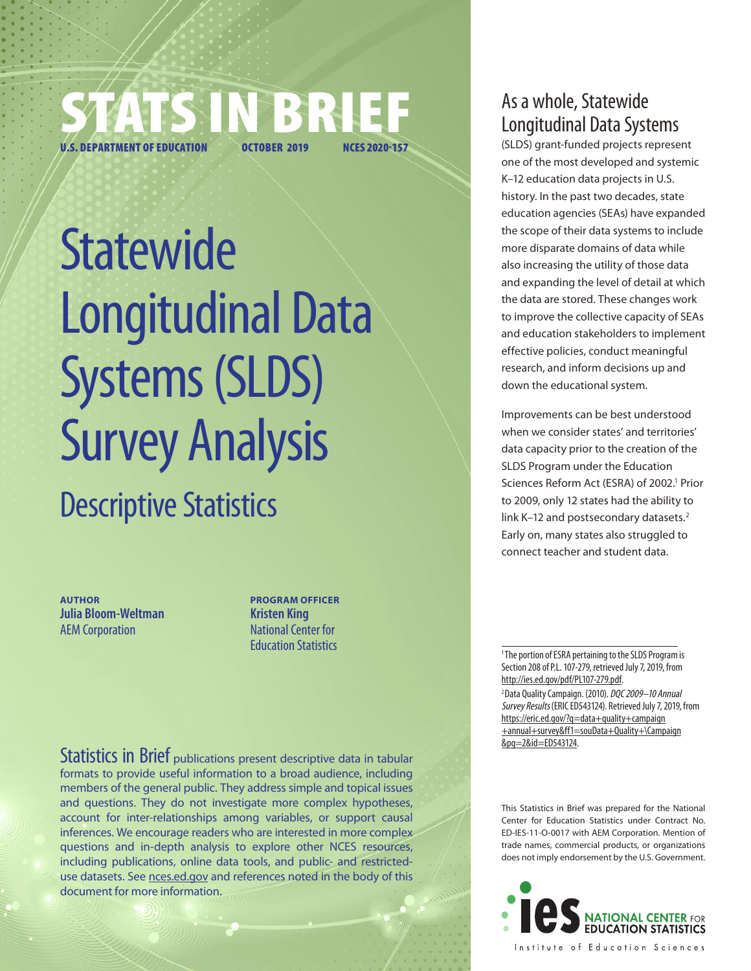

**Statewide** Longitudinal Data Systems (SLDS) Survey Analysis Descriptive Statistics

**AUTHOR Julia Bloom-Weltman** AEM Corporation

**PROGRAM OFFICER Kristen King** National Center for Education Statistics

As a whole, Statewide Longitudinal Data Systems

(SLDS) grant-funded projects represent one of the most developed and systemic K–12 education data projects in U.S. history. In the past two decades, state education agencies (SEAs) have expanded the scope of their data systems to include more disparate domains of data while also increasing the utility of those data and expanding the level of detail at which the data are stored. These changes work to improve the collective capacity of SEAs and education stakeholders to implement effective policies, conduct meaningful research, and inform decisions up and down the educational system.

Improvements can be best understood when we consider states' and territories' data capacity prior to the creation of the SLDS Program under the Education Sciences Reform Act (ESRA) of 2002.<sup>1</sup> Prior to 2009, only 12 states had the ability to link K-12 and postsecondary datasets.<sup>2</sup> Early on, many states also struggled to connect teacher and student data.

<sup>1</sup> The portion of ESRA pertaining to the SLDS Program is Section 208 of P.L. 107-279, retrieved July 7, 2019, from [http://ies.ed.gov/pdf/PL107-279.pdf.](http://ies.ed.gov/pdf/PL107-279.pdf) <sup>2</sup> Data Quality Campaign. (2010). DQC 2009-10 Annual Survey Results (ERIC ED543124). Retrieved July 7, 2019, from [https://eric.ed.gov/?q=data+quality+campaign](https://eric.ed.gov/?q=data+quality+campaign+annual+survey&ff1=souData+Quality+Campaign&pg=2&id=ED543124)

[+annual+survey&ff1=souData+Quality+\Campaign](https://eric.ed.gov/?q=data+quality+campaign+annual+survey&ff1=souData+Quality+Campaign&pg=2&id=ED543124) [&pg=2&id=ED543124](https://eric.ed.gov/?q=data+quality+campaign+annual+survey&ff1=souData+Quality+Campaign&pg=2&id=ED543124).

This Statistics in Brief was prepared for the National Center for Education Statistics under Contract No. ED-IES-11-O-0017 with AEM Corporation. Mention of trade names, commercial products, or organizations does not imply endorsement by the U.S. Government.



Statistics in Brief publications present descriptive data in tabular formats to provide useful information to a broad audience, including members of the general public. They address simple and topical issues and questions. They do not investigate more complex hypotheses, account for inter-relationships among variables, or support causal inferences. We encourage readers who are interested in more complex questions and in-depth analysis to explore other NCES resources, including publications, online data tools, and public- and restricteduse datasets. See [nces.ed.gov](http://nces.ed.gov) and references noted in the body of this document for more information.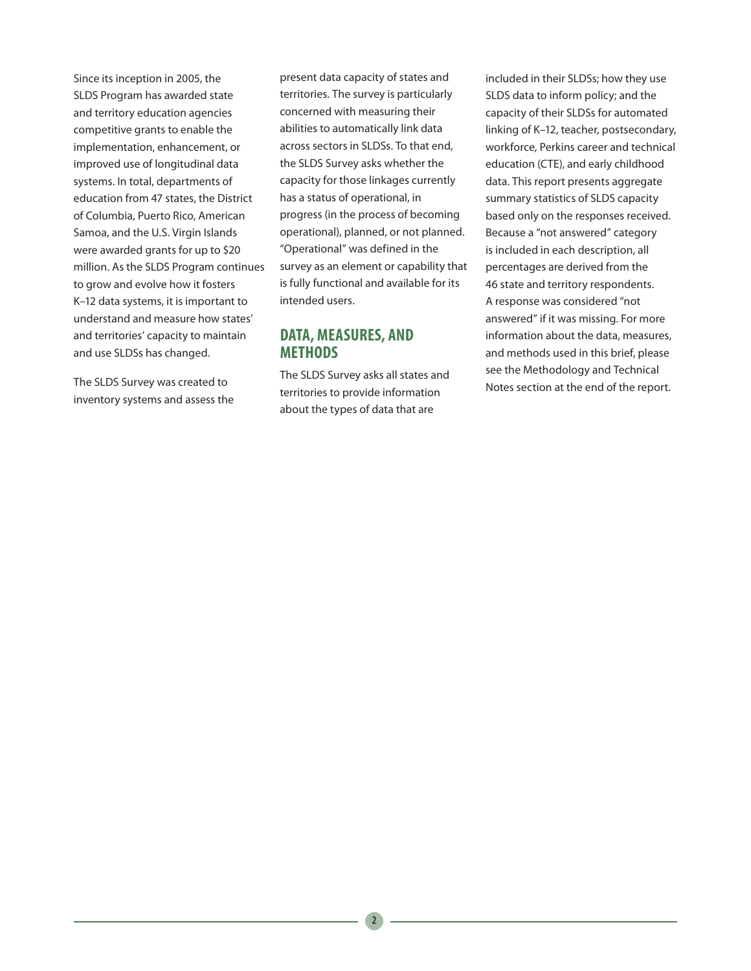Since its inception in 2005, the SLDS Program has awarded state and territory education agencies competitive grants to enable the implementation, enhancement, or improved use of longitudinal data systems. In total, departments of education from 47 states, the District of Columbia, Puerto Rico, American Samoa, and the U.S. Virgin Islands were awarded grants for up to \$20 million. As the SLDS Program continues to grow and evolve how it fosters K–12 data systems, it is important to understand and measure how states' and territories' capacity to maintain and use SLDSs has changed.

The SLDS Survey was created to inventory systems and assess the

present data capacity of states and territories. The survey is particularly concerned with measuring their abilities to automatically link data across sectors in SLDSs. To that end, the SLDS Survey asks whether the capacity for those linkages currently has a status of operational, in progress (in the process of becoming operational), planned, or not planned. "Operational" was defined in the survey as an element or capability that is fully functional and available for its intended users.

## **DATA, MEASURES, AND METHODS**

The SLDS Survey asks all states and territories to provide information about the types of data that are

included in their SLDSs; how they use SLDS data to inform policy; and the capacity of their SLDSs for automated linking of K–12, teacher, postsecondary, workforce, Perkins career and technical education (CTE), and early childhood data. This report presents aggregate summary statistics of SLDS capacity based only on the responses received. Because a "not answered" category is included in each description, all percentages are derived from the 46 state and territory respondents. A response was considered "not answered" if it was missing. For more information about the data, measures, and methods used in this brief, please see the Methodology and Technical Notes section at the end of the report.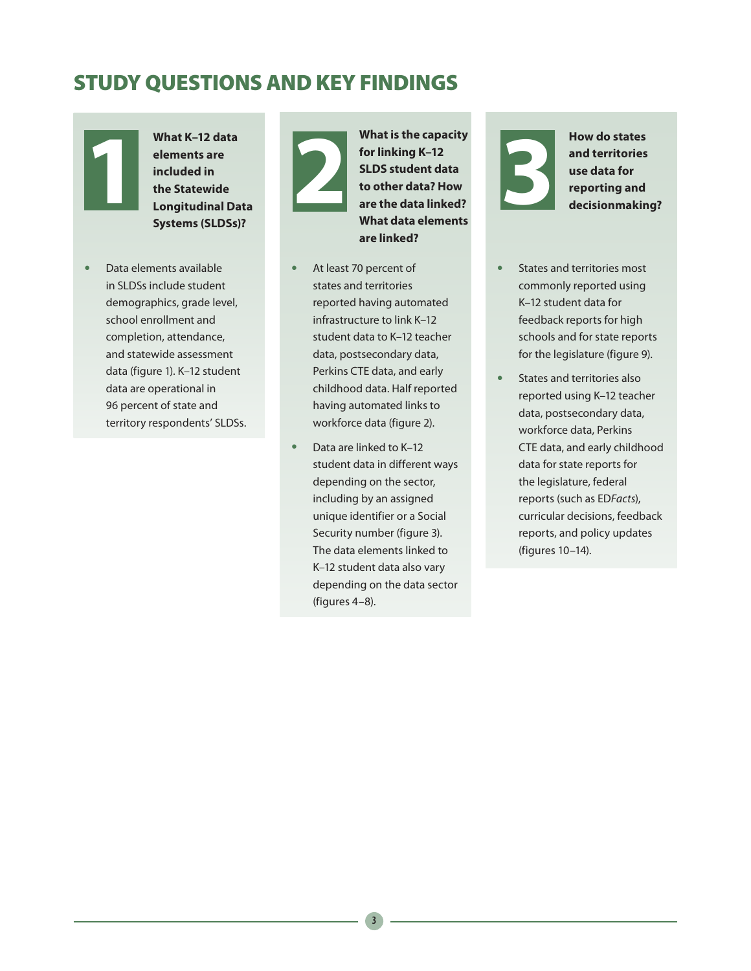# STUDY QUESTIONS AND KEY FINDINGS



What K–12 data<br>
elements are<br>
included in<br>
the Statewide<br>
Longitudinal Da<br>
Systems (SLDSs) **elements are included in the Statewide Longitudinal Data Systems (SLDSs)?**

• Data elements available in SLDSs include student demographics, grade level, school enrollment and completion, attendance, and statewide assessment data (figure 1). K–12 student data are operational in 96 percent of state and territory respondents' SLDSs. What is the capacity<br>for linking K-12<br>SLDS student data<br>to other data? How<br>are the data linked?<br>What data elements **for linking K–12 SLDS student data to other data? How are the data linked? What data elements are linked?**

- At least 70 percent of states and territories reported having automated infrastructure to link K–12 student data to K–12 teacher data, postsecondary data, Perkins CTE data, and early childhood data. Half reported having automated links to workforce data (figure 2).
- Data are linked to K-12 student data in different ways depending on the sector, including by an assigned unique identifier or a Social Security number (figure 3). The data elements linked to K–12 student data also vary depending on the data sector (figures 4–8).

**3 How do states and territories use data for reporting and decision<br>making and decision making and decision making and the state of the state of the state of the state of the state of the state of the state of the state and territories use data for reporting and decisionmaking?**

- States and territories most commonly reported using K–12 student data for feedback reports for high schools and for state reports for the legislature (figure 9).
- States and territories also reported using K–12 teacher data, postsecondary data, workforce data, Perkins CTE data, and early childhood data for state reports for the legislature, federal reports (such as ED*Facts*), curricular decisions, feedback reports, and policy updates (figures 10–14).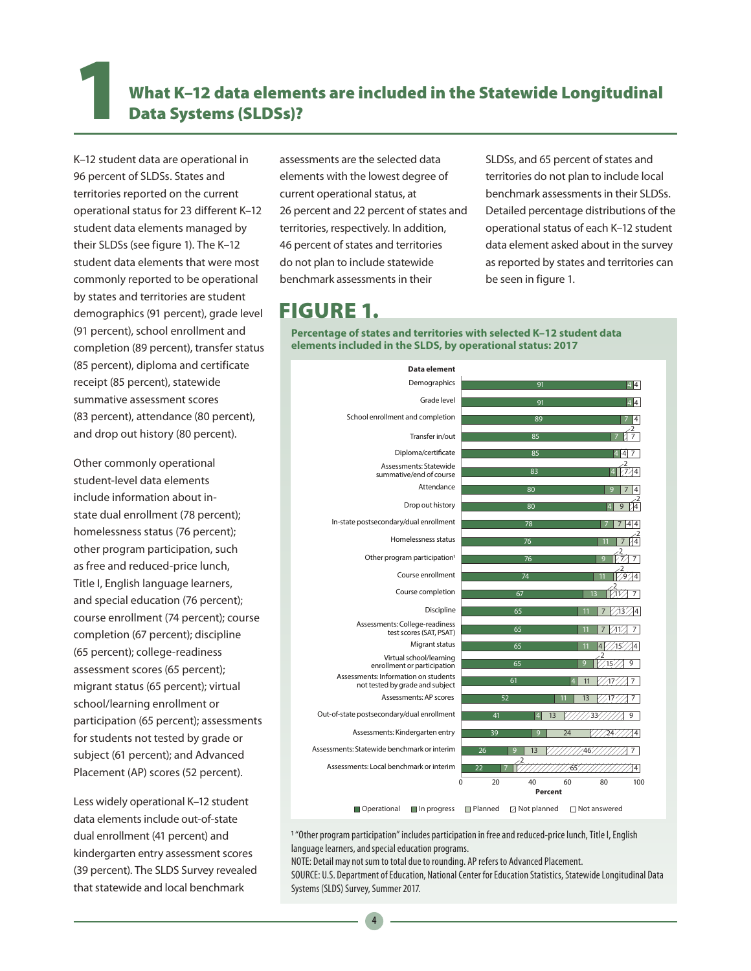## What K-12 data elements are included in the Statewide Longitudinal Data Systems (SLDSs)?

K–12 student data are operational in 96 percent of SLDSs. States and territories reported on the current operational status for 23 different K–12 student data elements managed by their SLDSs (see figure 1). The K–12 student data elements that were most commonly reported to be operational by states and territories are student demographics (91 percent), grade level (91 percent), school enrollment and completion (89 percent), transfer status (85 percent), diploma and certificate receipt (85 percent), statewide summative assessment scores (83 percent), attendance (80 percent), and drop out history (80 percent).

Other commonly operational student-level data elements include information about instate dual enrollment (78 percent); homelessness status (76 percent); other program participation, such as free and reduced-price lunch, Title I, English language learners, and special education (76 percent); course enrollment (74 percent); course completion (67 percent); discipline (65 percent); college-readiness assessment scores (65 percent); migrant status (65 percent); virtual school/learning enrollment or participation (65 percent); assessments for students not tested by grade or subject (61 percent); and Advanced Placement (AP) scores (52 percent).

Less widely operational K–12 student data elements include out-of-state dual enrollment (41 percent) and kindergarten entry assessment scores (39 percent). The SLDS Survey revealed that statewide and local benchmark

assessments are the selected data elements with the lowest degree of current operational status, at 26 percent and 22 percent of states and territories, respectively. In addition, 46 percent of states and territories do not plan to include statewide benchmark assessments in their

SLDSs, and 65 percent of states and territories do not plan to include local benchmark assessments in their SLDSs. Detailed percentage distributions of the operational status of each K–12 student data element asked about in the survey as reported by states and territories can be seen in figure 1.

## FIGURE 1.

**Percentage of states and territories with selected K–12 student data elements included in the SLDS, by operational status: 2017**

| <b>Data element</b>                                                     |                                                     |                                             |
|-------------------------------------------------------------------------|-----------------------------------------------------|---------------------------------------------|
| Demographics                                                            | 91                                                  | 4 4                                         |
| Grade level                                                             | 91                                                  | $\overline{4}$<br>4                         |
| School enrollment and completion                                        | 89                                                  |                                             |
| Transfer in/out                                                         | 85                                                  |                                             |
| Diploma/certificate                                                     | 85                                                  |                                             |
| Assessments: Statewide<br>summative/end of course                       | 83                                                  |                                             |
| Attendance                                                              | 80                                                  |                                             |
| Drop out history                                                        | 80                                                  | 9                                           |
| In-state postsecondary/dual enrollment                                  | 78                                                  | 4<br>4                                      |
| Homelessness status                                                     | 76                                                  |                                             |
| Other program participation <sup>1</sup>                                | 76                                                  | $\tilde{\tau}_{1/2}$<br>$\overline{7}$<br>ō |
| Course enrollment                                                       | 74                                                  | $\overline{2}$<br>$\sqrt{9}$<br>4           |
| Course completion                                                       | 67                                                  | 7                                           |
| Discipline                                                              | $\overline{65}$                                     | 13<br>4                                     |
| Assessments: College-readiness<br>test scores (SAT, PSAT)               | $\overline{65}$                                     | 41<br>7                                     |
| Migrant status                                                          | 65                                                  | 15 <sub>1</sub><br>4                        |
| Virtual school/learning<br>enrollment or participation                  | 65                                                  | 15<br>9                                     |
| Assessments: Information on students<br>not tested by grade and subject | 61                                                  | 11<br>$-17$<br>7                            |
| Assessments: AP scores                                                  | 52                                                  | 13<br>$-17$<br>7                            |
| Out-of-state postsecondary/dual enrollment                              | 41<br>13<br>Δ                                       | 33<br>9                                     |
| Assessments: Kindergarten entry                                         | 39<br>9                                             | 24<br>4<br>24                               |
| Assessments: Statewide benchmark or interim                             | 26<br>13<br>o                                       | 7<br>46                                     |
| Assessments: Local benchmark or interim                                 | 22                                                  | 65<br>4                                     |
|                                                                         | $\Omega$<br>20<br>40<br>Percent                     | 100<br>60<br>80                             |
| Onerational<br>$\blacksquare$ In progress                               | □ Planned<br>$\Box$ Not planned $\Box$ Not answered |                                             |

1 "Other program participation" includes participation in free and reduced-price lunch, Title I, English language learners, and special education programs.

NOTE: Detail may not sum to total due to rounding. AP refers to Advanced Placement.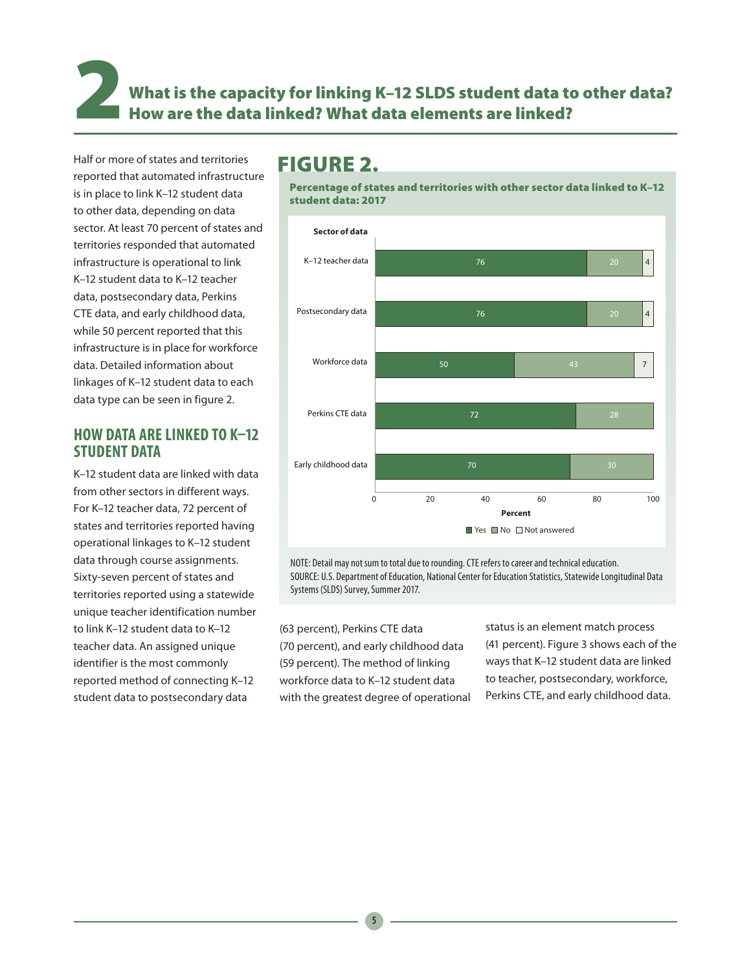2 What is the capacity for linking K–12 SLDS student data to other data? How are the data linked? What data elements are linked?

Half or more of states and territories reported that automated infrastructure is in place to link K–12 student data to other data, depending on data sector. At least 70 percent of states and territories responded that automated infrastructure is operational to link K–12 student data to K–12 teacher data, postsecondary data, Perkins CTE data, and early childhood data, while 50 percent reported that this infrastructure is in place for workforce data. Detailed information about linkages of K–12 student data to each data type can be seen in figure 2.

## **HOW DATA ARE LINKED TO K–12 STUDENT DATA**

K–12 student data are linked with data from other sectors in different ways. For K–12 teacher data, 72 percent of states and territories reported having operational linkages to K–12 student data through course assignments. Sixty-seven percent of states and territories reported using a statewide unique teacher identification number to link K–12 student data to K–12 teacher data. An assigned unique identifier is the most commonly reported method of connecting K–12 student data to postsecondary data

## FIGURE 2.

Percentage of states and territories with other sector data linked to K–12 student data: 2017



NOTE: Detail may not sum to total due to rounding. CTE refers to career and technical education. SOURCE: U.S. Department of Education, National Center for Education Statistics, Statewide Longitudinal Data Systems (SLDS) Survey, Summer 2017.

(63 percent), Perkins CTE data (70 percent), and early childhood data (59 percent). The method of linking workforce data to K–12 student data with the greatest degree of operational status is an element match process (41 percent). Figure 3 shows each of the ways that K–12 student data are linked to teacher, postsecondary, workforce, Perkins CTE, and early childhood data.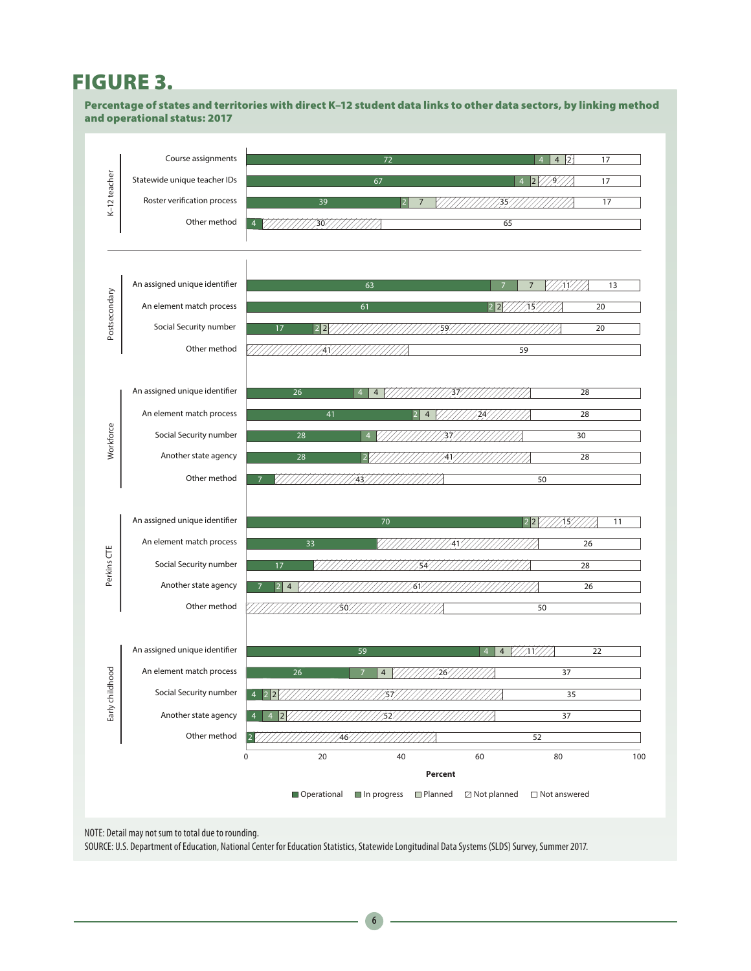# FIGURE 3.

Percentage of states and territories with direct K–12 student data links to other data sectors, by linking method and operational status: 2017



NOTE: Detail may not sum to total due to rounding.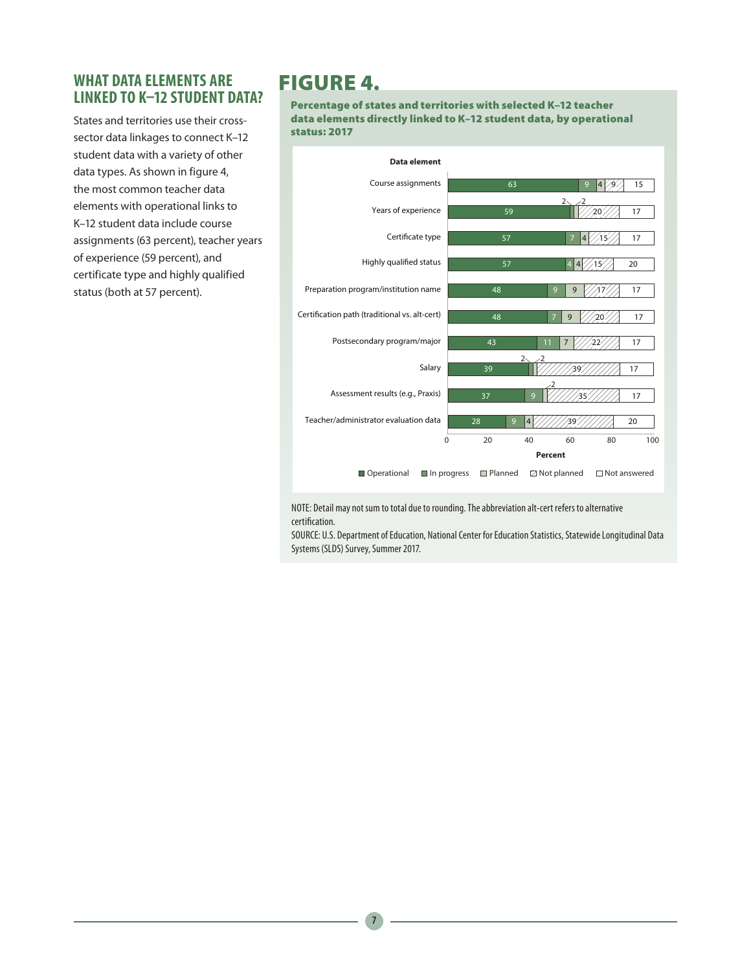## **WHAT DATA ELEMENTS ARE LINKED TO K–12 STUDENT DATA?**

States and territories use their crosssector data linkages to connect K–12 student data with a variety of other data types. As shown in figure 4, the most common teacher data elements with operational links to K–12 student data include course assignments (63 percent), teacher years of experience (59 percent), and certificate type and highly qualified status (both at 57 percent).

## FIGURE 4.

Percentage of states and territories with selected K–12 teacher data elements directly linked to K–12 student data, by operational status: 2017



NOTE: Detail may not sum to total due to rounding. The abbreviation alt-cert refers to alternative certification.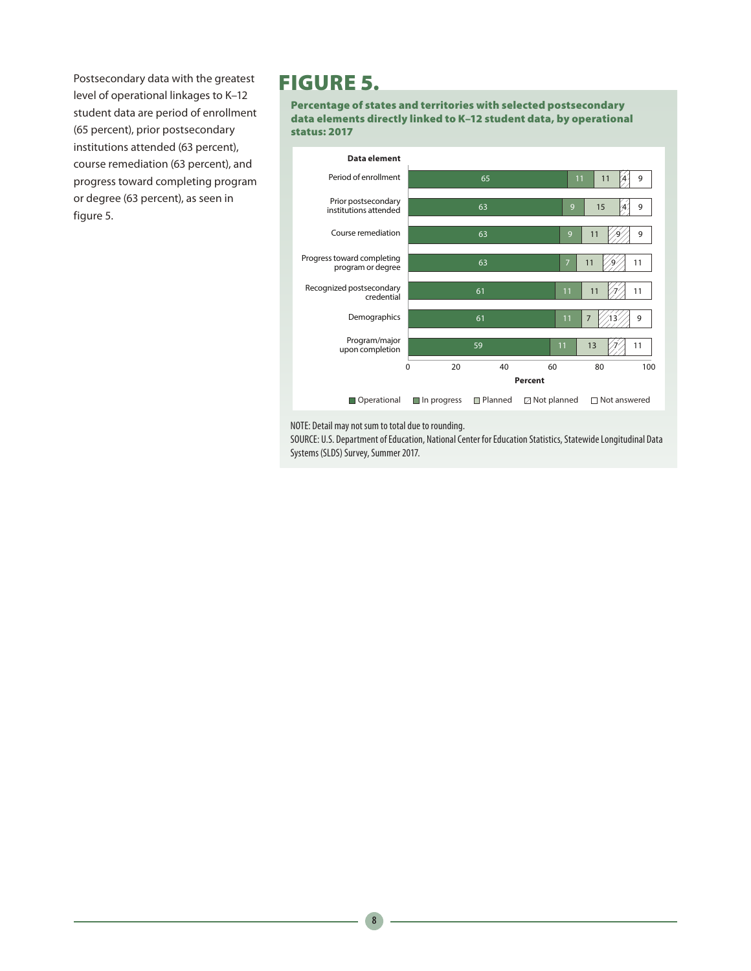Postsecondary data with the greatest level of operational linkages to K–12 student data are period of enrollment (65 percent), prior postsecondary institutions attended (63 percent), course remediation (63 percent), and progress toward completing program or degree (63 percent), as seen in figure 5.

## FIGURE 5.

Percentage of states and territories with selected postsecondary data elements directly linked to K–12 student data, by operational status: 2017



NOTE: Detail may not sum to total due to rounding.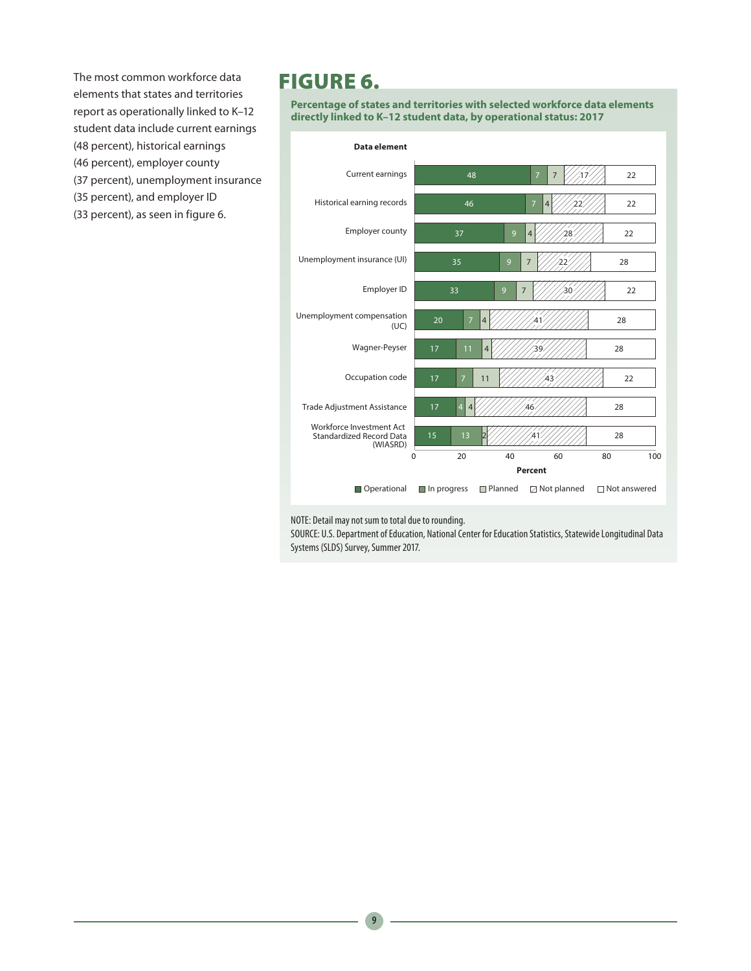The most common workforce data elements that states and territories report as operationally linked to K–12 student data include current earnings (48 percent), historical earnings (46 percent), employer county (37 percent), unemployment insurance (35 percent), and employer ID (33 percent), as seen in figure 6.

## FIGURE 6.

**Percentage of states and territories with selected workforce data elements directly linked to K–12 student data, by operational status: 2017**



NOTE: Detail may not sum to total due to rounding.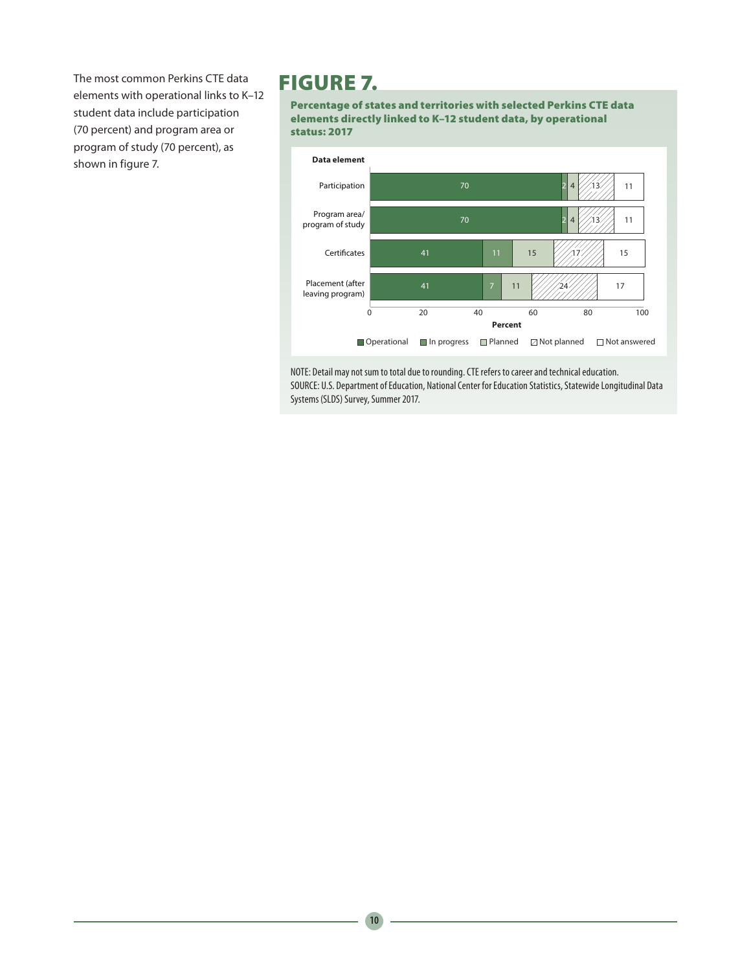The most common Perkins CTE data elements with operational links to K–12 student data include participation (70 percent) and program area or program of study (70 percent), as shown in figure 7.

## FIGURE 7.

Percentage of states and territories with selected Perkins CTE data elements directly linked to K–12 student data, by operational status: 2017

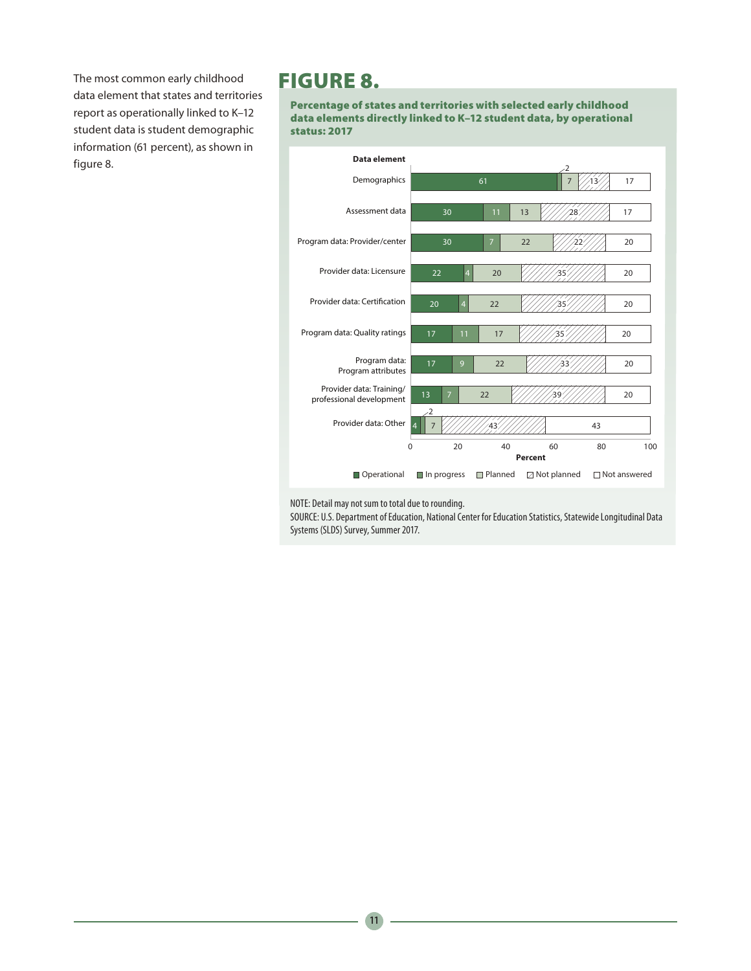The most common early childhood data element that states and territories report as operationally linked to K–12 student data is student demographic information (61 percent), as shown in figure 8.

## FIGURE 8.

Percentage of states and territories with selected early childhood data elements directly linked to K–12 student data, by operational status: 2017



NOTE: Detail may not sum to total due to rounding.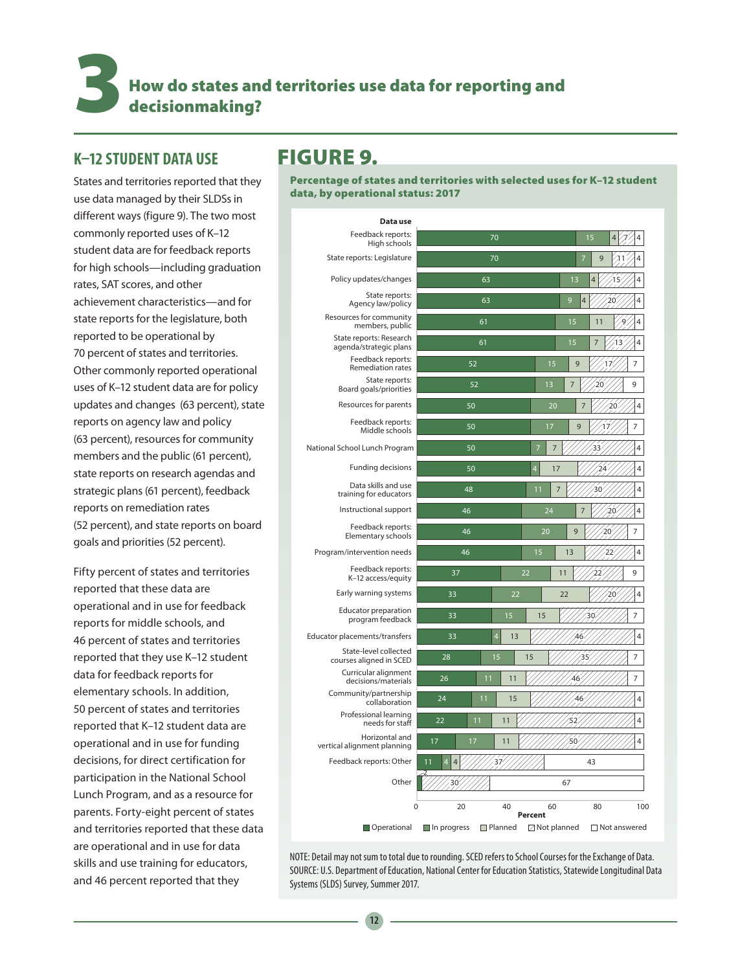How do states and territories use data for reporting and decisionmaking?

## **K–12 STUDENT DATA USE**

States and territories reported that they use data managed by their SLDSs in different ways (figure 9). The two most commonly reported uses of K–12 student data are for feedback reports for high schools—including graduation rates, SAT scores, and other achievement characteristics—and for state reports for the legislature, both reported to be operational by 70 percent of states and territories. Other commonly reported operational uses of K–12 student data are for policy updates and changes (63 percent), state reports on agency law and policy (63 percent), resources for community members and the public (61 percent), state reports on research agendas and strategic plans (61 percent), feedback reports on remediation rates (52 percent), and state reports on board goals and priorities (52 percent).

Fifty percent of states and territories reported that these data are operational and in use for feedback reports for middle schools, and 46 percent of states and territories reported that they use K–12 student data for feedback reports for elementary schools. In addition, 50 percent of states and territories reported that K–12 student data are operational and in use for funding decisions, for direct certification for participation in the National School Lunch Program, and as a resource for parents. Forty-eight percent of states and territories reported that these data are operational and in use for data skills and use training for educators, and 46 percent reported that they

## FIGURE 9.

Percentage of states and territories with selected uses for K–12 student data, by operational status: 2017

| Data use                                          |                                 |                                                           |  |  |  |
|---------------------------------------------------|---------------------------------|-----------------------------------------------------------|--|--|--|
| Feedback reports:<br>High schools                 | 70<br>15<br>4                   |                                                           |  |  |  |
| State reports: Legislature                        | 70                              | 7<br>9                                                    |  |  |  |
| Policy updates/changes                            | 63                              | 1 <sub>3</sub><br>4<br>15<br>4                            |  |  |  |
| State reports:<br>Agency law/policy               | 63                              | 9<br>4<br>20<br>4                                         |  |  |  |
| Resources for community<br>members, public        | 61                              | 15<br>11<br>4                                             |  |  |  |
| State reports: Research<br>agenda/strategic plans | 61                              | 15<br>7<br>4<br>з                                         |  |  |  |
| Feedback reports:<br><b>Remediation rates</b>     | 52                              | 15<br>9<br>7                                              |  |  |  |
| State reports:<br>Board goals/priorities          | 52                              | 9<br>1 <sub>3</sub><br>7<br>20                            |  |  |  |
| Resources for parents                             | 50                              | 20<br>$\overline{4}$<br>20                                |  |  |  |
| Feedback reports:<br>Middle schools               | 50                              | 17<br>9<br>7<br>7<br>1                                    |  |  |  |
| National School Lunch Program                     | 50                              | 4<br>7                                                    |  |  |  |
| Funding decisions                                 | 50                              | $\overline{4}$<br>17<br>24<br>4                           |  |  |  |
| Data skills and use<br>training for educators     | 48                              | 11<br>7<br>30<br>4                                        |  |  |  |
| Instructional support                             | 46                              | 24<br>4<br>20                                             |  |  |  |
| Feedback reports:<br>Elementary schools           | 46                              | 20<br>9<br>7<br>O                                         |  |  |  |
| Program/intervention needs                        | 46                              | 15<br>13<br>4                                             |  |  |  |
| Feedback reports:<br>K-12 access/equity           | 37                              | 22<br>11<br>9                                             |  |  |  |
| Early warning systems                             | 33<br>22                        | 4<br>22<br>20                                             |  |  |  |
| Educator preparation<br>program feedback          | 33<br>15                        | 15<br>7<br>30                                             |  |  |  |
| Educator placements/transfers                     | 33<br>$\overline{4}$<br>13      | 46<br>4                                                   |  |  |  |
| State-level collected<br>courses aligned in SCED  | 28<br>15                        | 15<br>35<br>7                                             |  |  |  |
| Curricular alignment<br>decisions/materials       | 26<br>11<br>11                  | 46                                                        |  |  |  |
| Community/partnership<br>collaboration            | 24<br>11<br>15                  | 46<br>4                                                   |  |  |  |
| Professional learning<br>needs for staff          | 22<br>11<br>11                  | 4<br>57                                                   |  |  |  |
| Horizontal and<br>vertical alignment planning     | 17<br>17<br>11                  | 50<br>4                                                   |  |  |  |
| Feedback reports: Other                           | 11<br>37<br>$\overline{4}$      | 43                                                        |  |  |  |
| Other                                             | 30                              | 67                                                        |  |  |  |
|                                                   | $\overline{0}$<br>20<br>40      | 60<br>80<br>100                                           |  |  |  |
| Operational                                       | □ Planned<br>$\Box$ In progress | Percent<br>$\Box$ Not answered<br>$\boxtimes$ Not planned |  |  |  |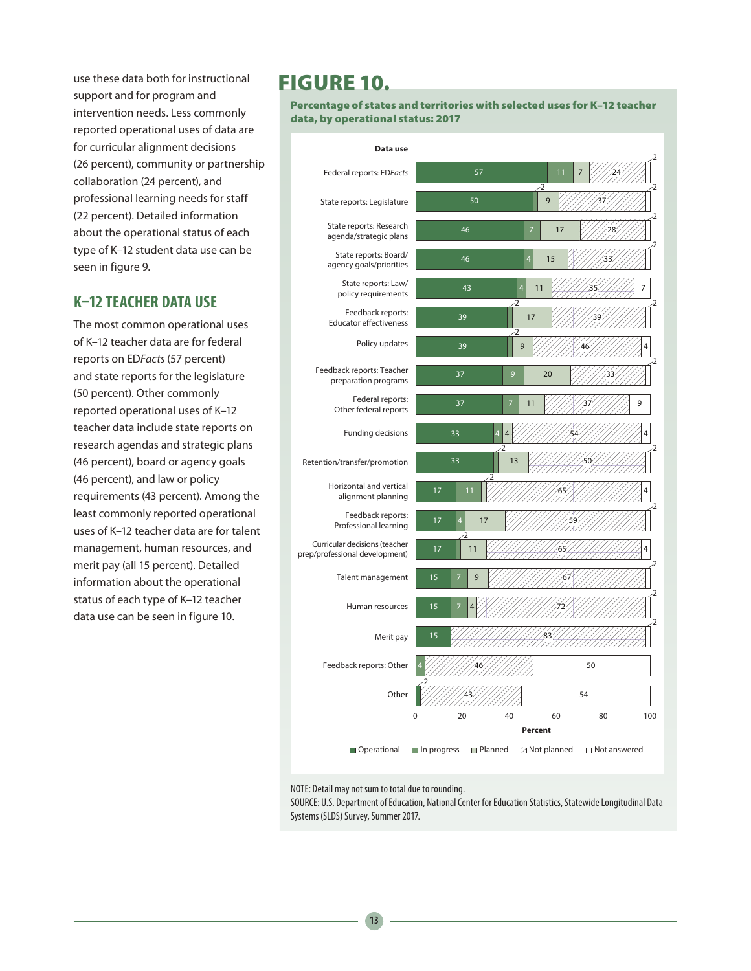use these data both for instructional support and for program and intervention needs. Less commonly reported operational uses of data are for curricular alignment decisions (26 percent), community or partnership collaboration (24 percent), and professional learning needs for staff (22 percent). Detailed information about the operational status of each type of K–12 student data use can be seen in figure 9.

## **K–12 TEACHER DATA USE**

The most common operational uses of K–12 teacher data are for federal reports on ED*Facts* (57 percent) and state reports for the legislature (50 percent). Other commonly reported operational uses of K–12 teacher data include state reports on research agendas and strategic plans (46 percent), board or agency goals (46 percent), and law or policy requirements (43 percent). Among the least commonly reported operational uses of K–12 teacher data are for talent management, human resources, and merit pay (all 15 percent). Detailed information about the operational status of each type of K–12 teacher data use can be seen in figure 10.

# FIGURE 10.

Percentage of states and territories with selected uses for K–12 teacher data, by operational status: 2017



NOTE: Detail may not sum to total due to rounding.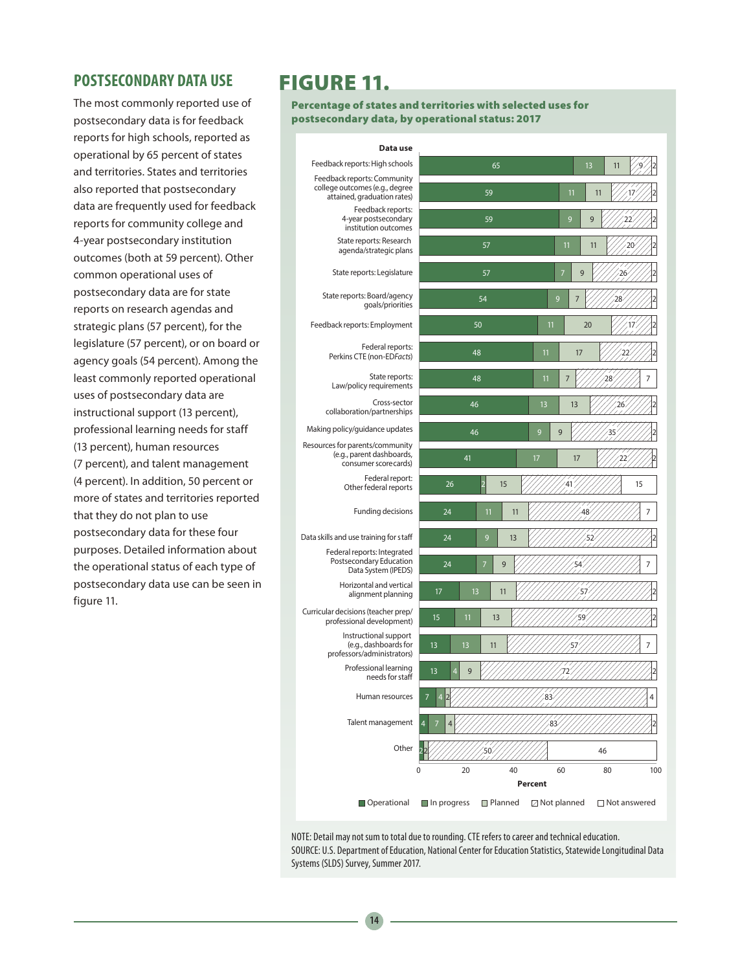### **POSTSECONDARY DATA USE**

The most commonly reported use of postsecondary data is for feedback reports for high schools, reported as operational by 65 percent of states and territories. States and territories also reported that postsecondary data are frequently used for feedback reports for community college and 4-year postsecondary institution outcomes (both at 59 percent). Other common operational uses of postsecondary data are for state reports on research agendas and strategic plans (57 percent), for the legislature (57 percent), or on board or agency goals (54 percent). Among the least commonly reported operational uses of postsecondary data are instructional support (13 percent), professional learning needs for staff (13 percent), human resources (7 percent), and talent management (4 percent). In addition, 50 percent or more of states and territories reported that they do not plan to use postsecondary data for these four purposes. Detailed information about the operational status of each type of postsecondary data use can be seen in figure 11.

# FIGURE 11.

Percentage of states and territories with selected uses for postsecondary data, by operational status: 2017

| Data use                                                                                     |                           |                     |                      |          |                |
|----------------------------------------------------------------------------------------------|---------------------------|---------------------|----------------------|----------|----------------|
| Feedback reports: High schools                                                               |                           | 65                  |                      | 13<br>11 |                |
| Feedback reports: Community<br>college outcomes (e.g., degree<br>attained, graduation rates) |                           | 59                  | 11                   | 11       |                |
| Feedback reports:<br>4-year postsecondary<br>institution outcomes                            |                           | 9                   | 9                    |          |                |
| State reports: Research<br>agenda/strategic plans                                            |                           | 57                  | 11                   | 11       | 20             |
| State reports: Legislature                                                                   |                           | 57                  | 7                    | 9        | 26             |
| State reports: Board/agency<br>goals/priorities                                              |                           | 54                  | 9                    | 28       |                |
| Feedback reports: Employment                                                                 |                           | 50                  | 11                   | 20       |                |
| Federal reports:<br>Perkins CTE (non-EDFacts)                                                |                           | 48                  | 11<br>17             |          |                |
| State reports:<br>Law/policy requirements                                                    |                           | 48                  | $\overline{7}$<br>11 | 28       | 7              |
| Cross-sector<br>collaboration/partnerships                                                   | 46                        |                     | 13<br>13             |          | 26             |
| Making policy/guidance updates                                                               | 46                        |                     | 9<br>9               |          |                |
| Resources for parents/community<br>(e.g., parent dashboards,<br>consumer score cards)        | 41                        |                     | 17<br>17             |          | າາ             |
| Federal report:<br>Other federal reports                                                     | 26                        | 15                  |                      |          | 15             |
| Funding decisions                                                                            | 24                        | 11<br>11            |                      |          | 7              |
| Data skills and use training for staff                                                       | 24                        | 9<br>13             |                      | 52       |                |
| Federal reports: Integrated<br>Postsecondary Education<br>Data System (IPEDS)                | 24                        | $\overline{7}$<br>9 | 54                   |          | 7              |
| Horizontal and vertical<br>alignment planning                                                | 17<br>13                  | 11                  |                      | 5        |                |
| Curricular decisions (teacher prep/<br>professional development)                             | 11<br>15                  | 13                  |                      |          |                |
| Instructional support<br>(e.g., dashboards for<br>professors/administrators)                 | 13<br>13                  | 11                  |                      |          | 7              |
| Professional learning<br>needs for staff                                                     | 13<br>9<br>$\overline{4}$ |                     | 72                   |          |                |
| Human resources                                                                              |                           |                     | 83                   |          | 4              |
| Talent management                                                                            |                           |                     | 83                   |          |                |
| Other                                                                                        |                           | 50                  |                      | 46       |                |
|                                                                                              | $\pmb{0}$<br>20           | 40                  | 60                   | 80       | 100            |
|                                                                                              |                           | Percent             |                      |          |                |
| Operational                                                                                  | In progress               | Planned             | □ Not planned        |          | □ Not answered |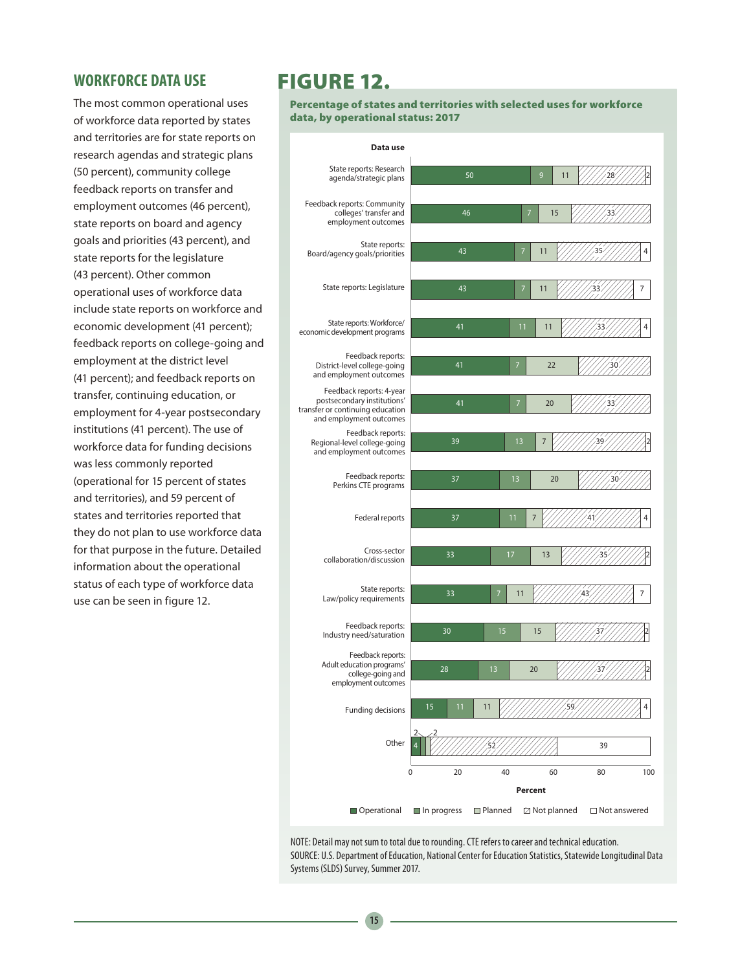### **WORKFORCE DATA USE**

The most common operational uses of workforce data reported by states and territories are for state reports on research agendas and strategic plans (50 percent), community college feedback reports on transfer and employment outcomes (46 percent), state reports on board and agency goals and priorities (43 percent), and state reports for the legislature (43 percent). Other common operational uses of workforce data include state reports on workforce and economic development (41 percent); feedback reports on college-going and employment at the district level (41 percent); and feedback reports on transfer, continuing education, or employment for 4-year postsecondary institutions (41 percent). The use of workforce data for funding decisions was less commonly reported (operational for 15 percent of states and territories), and 59 percent of states and territories reported that they do not plan to use workforce data for that purpose in the future. Detailed information about the operational status of each type of workforce data use can be seen in figure 12.

## FIGURE 12.

Percentage of states and territories with selected uses for workforce data, by operational status: 2017

| Data use                                                                                                               |                            |                  |                         |                |     |
|------------------------------------------------------------------------------------------------------------------------|----------------------------|------------------|-------------------------|----------------|-----|
| State reports: Research<br>agenda/strategic plans                                                                      |                            | 50               | 9<br>11                 |                |     |
| Feedback reports: Community<br>colleges' transfer and<br>employment outcomes                                           | 46                         |                  | 15<br>7                 |                |     |
| State reports:<br>Board/agency goals/priorities                                                                        | 43                         |                  | 7<br>11                 | 35             | 4   |
| State reports: Legislature                                                                                             | 43                         |                  | 11<br>7                 |                | 7   |
| State reports: Workforce/<br>economic development programs                                                             | 41                         |                  | 11<br>11                |                | 4   |
| Feedback reports:<br>District-level college-going<br>and employment outcomes                                           | 41                         |                  | 22<br>7                 |                |     |
| Feedback reports: 4-year<br>postsecondary institutions'<br>transfer or continuing education<br>and employment outcomes | 41                         |                  | 20<br>7                 |                |     |
| Feedback reports:<br>Regional-level college-going<br>and employment outcomes                                           | 39                         |                  | 13<br>7                 |                |     |
| Feedback reports:<br>Perkins CTE programs                                                                              | 37                         |                  | 20<br>13                | 30             |     |
| Federal reports                                                                                                        | 37                         | 11               | 7                       |                | 4   |
| Cross-sector<br>collaboration/discussion                                                                               | 33                         | 17               | 13                      | 35             |     |
| State reports:<br>Law/policy requirements                                                                              | 33                         | 7                | 11                      |                | 7   |
| Feedback reports:<br>Industry need/saturation                                                                          | 30                         | 15               | 15                      |                |     |
| Feedback reports:<br>Adult education programs'<br>college-going and<br>employment outcomes                             | 28                         | 13               | 20                      |                |     |
| <b>Funding decisions</b>                                                                                               | 15<br>11                   | 11               |                         |                |     |
| Other                                                                                                                  | 2                          |                  |                         | 39             |     |
|                                                                                                                        | 0<br>20                    | 40               | 60                      | 80             | 100 |
|                                                                                                                        |                            |                  | Percent                 |                |     |
| Operational                                                                                                            | $\blacksquare$ In progress | <b>□ Planned</b> | $\boxtimes$ Not planned | □ Not answered |     |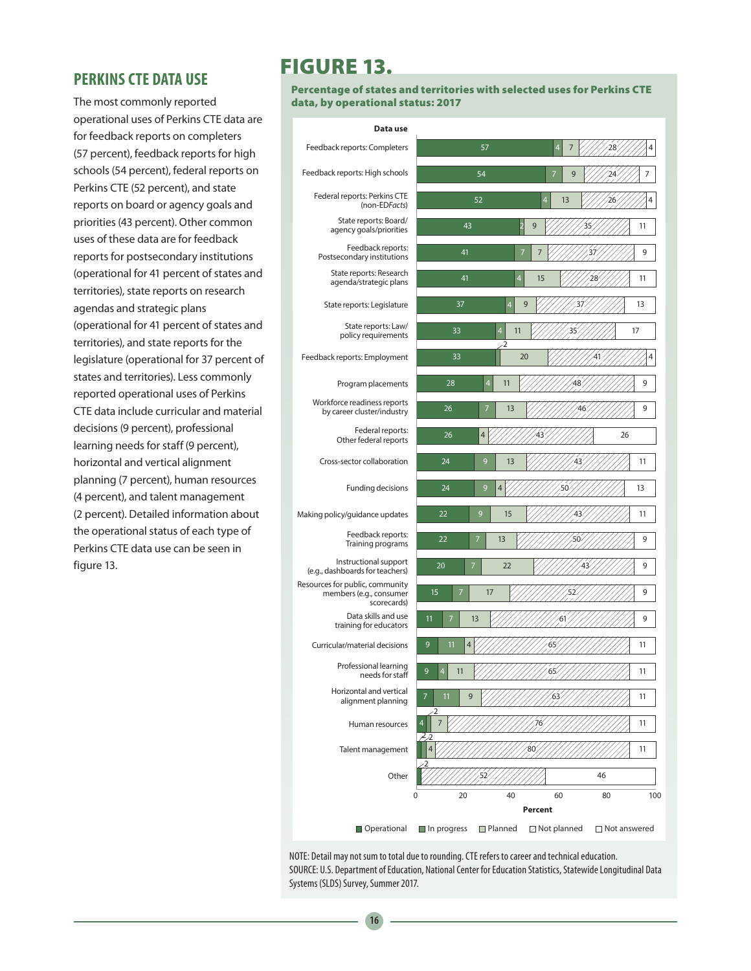### **PERKINS CTE DATA USE**

The most commonly reported operational uses of Perkins CTE data are for feedback reports on completers (57 percent), feedback reports for high schools (54 percent), federal reports on Perkins CTE (52 percent), and state reports on board or agency goals and priorities (43 percent). Other common uses of these data are for feedback reports for postsecondary institutions (operational for 41 percent of states and territories), state reports on research agendas and strategic plans (operational for 41 percent of states and territories), and state reports for the legislature (operational for 37 percent of states and territories). Less commonly reported operational uses of Perkins CTE data include curricular and material decisions (9 percent), professional learning needs for staff (9 percent), horizontal and vertical alignment planning (7 percent), human resources (4 percent), and talent management (2 percent). Detailed information about the operational status of each type of Perkins CTE data use can be seen in figure 13.

# FIGURE 13.

Percentage of states and territories with selected uses for Perkins CTE data, by operational status: 2017

| Data use                                                                  |                                                                  |
|---------------------------------------------------------------------------|------------------------------------------------------------------|
| Feedback reports: Completers                                              | 28<br>57<br>4<br>7<br>4                                          |
| Feedback reports: High schools                                            | 54<br>9<br>7                                                     |
| Federal reports: Perkins CTE<br>(non-EDFacts)                             | 4<br>52<br>$\overline{4}$<br>13<br>26                            |
| State reports: Board/<br>agency goals/priorities                          | 43<br>9<br>11<br>2<br>35                                         |
| Feedback reports:<br>Postsecondary institutions                           | 41<br>9<br>7<br>7<br>37                                          |
| State reports: Research<br>agenda/strategic plans                         | 41<br>4<br>15<br>11                                              |
| State reports: Legislature                                                | 37<br>9<br>13<br>4                                               |
| State reports: Law/<br>policy requirements                                | $\overline{4}$<br>33<br>11<br>17<br>35                           |
| Feedback reports: Employment                                              | $\cdot 2$<br>4<br>33<br>20<br>41                                 |
| Program placements                                                        | 4<br>48<br>9<br>28<br>11                                         |
| Workforce readiness reports<br>by career cluster/industry                 | 26<br>46<br>9<br>13                                              |
| Federal reports:<br>Other federal reports                                 | 26<br>26<br>4<br>43                                              |
| Cross-sector collaboration                                                | 24<br>9<br>13<br>11<br>43                                        |
| Funding decisions                                                         | 24<br>9<br>4<br>50<br>13                                         |
| Making policy/guidance updates                                            | 9<br>22<br>15<br>43<br>11                                        |
| Feedback reports:<br>Training programs                                    | 22<br>9<br>13                                                    |
| Instructional support<br>(e.g., dashboards for teachers)                  | 20<br>22<br>9                                                    |
| Resources for public, community<br>members (e.g., consumer<br>scorecards) | 15<br>9<br>17                                                    |
| Data skills and use<br>training for educators                             | 11<br>61<br>9<br>7<br>13                                         |
| Curricular/material decisions                                             | 9<br>11<br>65<br>11<br>4                                         |
| Professional learning<br>needs for staff                                  | 11<br>11<br>ь                                                    |
| Horizontal and vertical<br>alignment planning                             | 11<br>9<br>11<br>63                                              |
| Human resources                                                           | $\cdot 2$<br>7<br>11                                             |
| Talent management                                                         | i2, 2<br>80<br>11<br>4                                           |
| Other                                                                     | 46<br>52                                                         |
|                                                                           | 20<br>40<br>60<br>80<br>100<br>0                                 |
|                                                                           | Percent                                                          |
| Operational                                                               | In progress<br>Planned<br><b>⊠</b> Not planned<br>□ Not answered |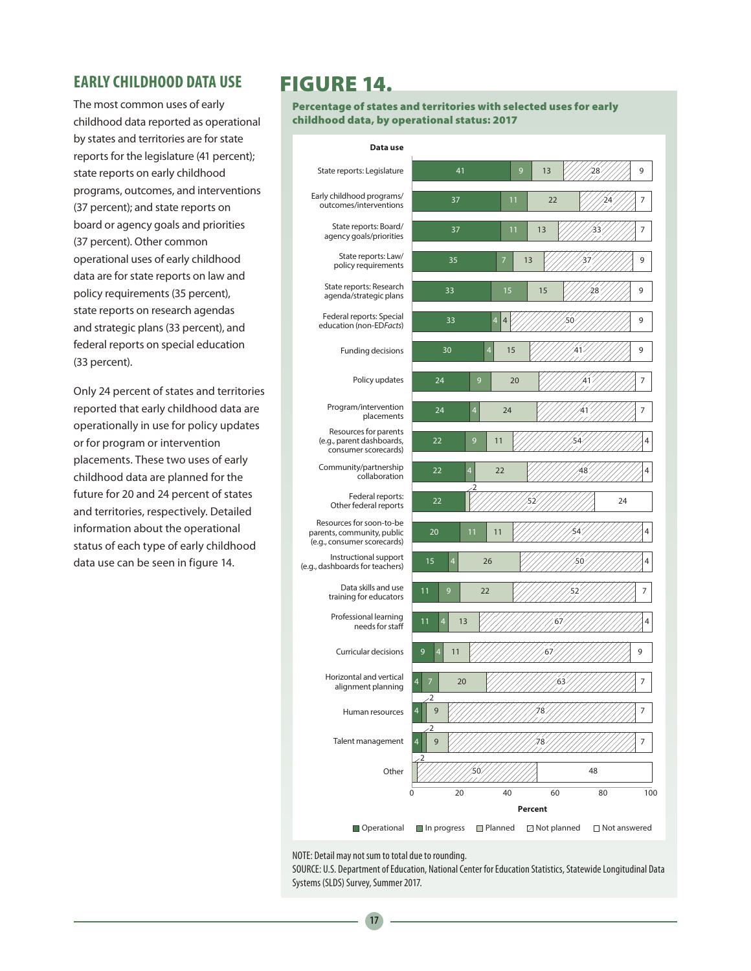## **EARLY CHILDHOOD DATA USE**

The most common uses of early childhood data reported as operational by states and territories are for state reports for the legislature (41 percent); state reports on early childhood programs, outcomes, and interventions (37 percent); and state reports on board or agency goals and priorities (37 percent). Other common operational uses of early childhood data are for state reports on law and policy requirements (35 percent), state reports on research agendas and strategic plans (33 percent), and federal reports on special education (33 percent).

Only 24 percent of states and territories reported that early childhood data are operationally in use for policy updates or for program or intervention placements. These two uses of early childhood data are planned for the future for 20 and 24 percent of states and territories, respectively. Detailed information about the operational status of each type of early childhood data use can be seen in figure 14.

## FIGURE 14.

Percentage of states and territories with selected uses for early childhood data, by operational status: 2017

| Data use                                                                              |                                    |         |                      |                |     |
|---------------------------------------------------------------------------------------|------------------------------------|---------|----------------------|----------------|-----|
| State reports: Legislature                                                            | 41                                 | 9       | 13                   | 28             | 9   |
| Early childhood programs/<br>outcomes/interventions                                   | 37                                 | 11      | 22                   |                | 7   |
| State reports: Board/<br>agency goals/priorities                                      | 37                                 | 11      | 13                   | 33             | 7   |
| State reports: Law/<br>policy requirements                                            | 35                                 | 7       | 13                   |                | 9   |
| State reports: Research<br>agenda/strategic plans                                     | 33                                 | 15      | 15                   |                | 9   |
| Federal reports: Special<br>education (non-EDFacts)                                   | 33                                 | 4<br>4  | 50                   |                | 9   |
| Funding decisions                                                                     | 30                                 | 4<br>15 |                      |                | 9   |
| Policy updates                                                                        | 24                                 | 9<br>20 |                      |                | 7   |
| Program/intervention<br>placements                                                    | 4<br>24                            | 24      |                      |                | 7   |
| Resources for parents<br>(e.g., parent dashboards,<br>consumer scorecards)            | 9<br>22                            | 11      | 54                   |                | 4   |
| Community/partnership<br>collaboration                                                | 22<br>4                            | 22      |                      | 48             | 4   |
| Federal reports:<br>Other federal reports                                             | 2<br>22                            |         | 52                   | 24             |     |
| Resources for soon-to-be<br>parents, community, public<br>(e.g., consumer scorecards) | 11<br>20                           | 11      | 54                   |                | 4   |
| Instructional support<br>(e.g., dashboards for teachers)                              | 15<br>4                            | 26      | 50                   |                | 4   |
| Data skills and use<br>training for educators                                         | 11<br>9                            | 22      | 52                   |                | 7   |
| Professional learning<br>needs for staff                                              | 4<br>13<br>11                      |         | 67                   |                | 4   |
| <b>Curricular decisions</b>                                                           | 9<br>11<br>4                       |         | 67                   |                | 9   |
| Horizontal and vertical<br>alignment planning                                         | $\overline{\mathbf{A}}$<br>20<br>2 |         | 63                   |                | 7   |
| Human resources                                                                       | 9<br>4                             |         |                      |                | 7   |
| Talent management                                                                     | 2<br>9                             |         | 8                    |                | 7   |
| Other                                                                                 |                                    |         |                      | 48             |     |
|                                                                                       | 20<br>0                            | 40      | 60                   | 80             | 100 |
|                                                                                       |                                    |         | Percent              |                |     |
| Operational                                                                           | $\blacksquare$ In progress         | Planned | <b>△</b> Not planned | □ Not answered |     |

NOTE: Detail may not sum to total due to rounding.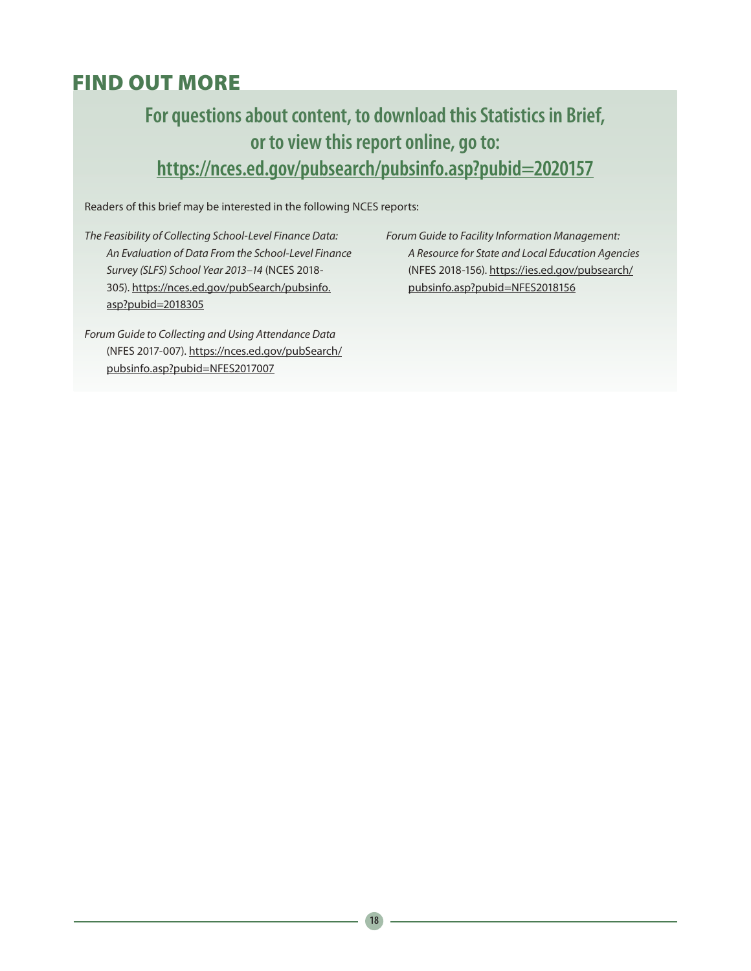# FIND OUT MORE

# **For questions about content, to download this Statistics in Brief, or to view this report online, go to: <https://nces.ed.gov/pubsearch/pubsinfo.asp?pubid=2020157>**

Readers of this brief may be interested in the following NCES reports:

*The Feasibility of Collecting School-Level Finance Data: An Evaluation of Data From the School-Level Finance Survey (SLFS) School Year 2013–14* (NCES 2018- 305). [https://nces.ed.gov/pubSearch/pubsinfo.](https://nces.ed.gov/pubSearch/pubsinfo.asp?pubid=2018305) [asp?pubid=2018305](https://nces.ed.gov/pubSearch/pubsinfo.asp?pubid=2018305)

*Forum Guide to Collecting and Using Attendance Data*  (NFES 2017-007). [https://nces.ed.gov/pubSearch/](https://nces.ed.gov/pubSearch/pubsinfo.asp?pubid=NFES2017007) [pubsinfo.asp?pubid=NFES2017007](https://nces.ed.gov/pubSearch/pubsinfo.asp?pubid=NFES2017007)

*Forum Guide to Facility Information Management: A Resource for State and Local Education Agencies* (NFES 2018-156). [https://ies.ed.gov/pubsearch/](https://ies.ed.gov/pubsearch/pubsinfo.asp?pubid=NFES2018156) [pubsinfo.asp?pubid=NFES2018156](https://ies.ed.gov/pubsearch/pubsinfo.asp?pubid=NFES2018156)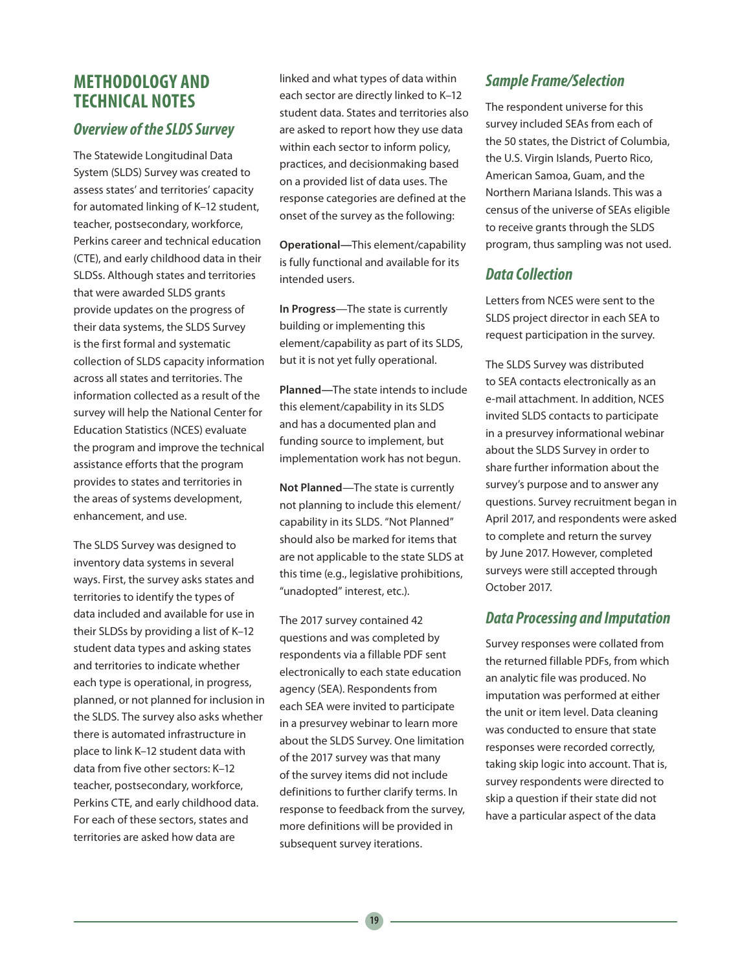## **METHODOLOGY AND TECHNICAL NOTES**

### *Overview of the SLDS Survey*

The Statewide Longitudinal Data System (SLDS) Survey was created to assess states' and territories' capacity for automated linking of K–12 student, teacher, postsecondary, workforce, Perkins career and technical education (CTE), and early childhood data in their SLDSs. Although states and territories that were awarded SLDS grants provide updates on the progress of their data systems, the SLDS Survey is the first formal and systematic collection of SLDS capacity information across all states and territories. The information collected as a result of the survey will help the National Center for Education Statistics (NCES) evaluate the program and improve the technical assistance efforts that the program provides to states and territories in the areas of systems development, enhancement, and use.

The SLDS Survey was designed to inventory data systems in several ways. First, the survey asks states and territories to identify the types of data included and available for use in their SLDSs by providing a list of K–12 student data types and asking states and territories to indicate whether each type is operational, in progress, planned, or not planned for inclusion in the SLDS. The survey also asks whether there is automated infrastructure in place to link K–12 student data with data from five other sectors: K–12 teacher, postsecondary, workforce, Perkins CTE, and early childhood data. For each of these sectors, states and territories are asked how data are

linked and what types of data within each sector are directly linked to K–12 student data. States and territories also are asked to report how they use data within each sector to inform policy, practices, and decisionmaking based on a provided list of data uses. The response categories are defined at the onset of the survey as the following:

**Operational—**This element/capability is fully functional and available for its intended users.

**In Progress**—The state is currently building or implementing this element/capability as part of its SLDS, but it is not yet fully operational.

**Planned—**The state intends to include this element/capability in its SLDS and has a documented plan and funding source to implement, but implementation work has not begun.

**Not Planned**—The state is currently not planning to include this element/ capability in its SLDS. "Not Planned" should also be marked for items that are not applicable to the state SLDS at this time (e.g., legislative prohibitions, "unadopted" interest, etc.).

The 2017 survey contained 42 questions and was completed by respondents via a fillable PDF sent electronically to each state education agency (SEA). Respondents from each SEA were invited to participate in a presurvey webinar to learn more about the SLDS Survey. One limitation of the 2017 survey was that many of the survey items did not include definitions to further clarify terms. In response to feedback from the survey, more definitions will be provided in subsequent survey iterations.

## *Sample Frame/Selection*

The respondent universe for this survey included SEAs from each of the 50 states, the District of Columbia, the U.S. Virgin Islands, Puerto Rico, American Samoa, Guam, and the Northern Mariana Islands. This was a census of the universe of SEAs eligible to receive grants through the SLDS program, thus sampling was not used.

## *Data Collection*

Letters from NCES were sent to the SLDS project director in each SEA to request participation in the survey.

The SLDS Survey was distributed to SEA contacts electronically as an e-mail attachment. In addition, NCES invited SLDS contacts to participate in a presurvey informational webinar about the SLDS Survey in order to share further information about the survey's purpose and to answer any questions. Survey recruitment began in April 2017, and respondents were asked to complete and return the survey by June 2017. However, completed surveys were still accepted through October 2017.

### *Data Processing and Imputation*

Survey responses were collated from the returned fillable PDFs, from which an analytic file was produced. No imputation was performed at either the unit or item level. Data cleaning was conducted to ensure that state responses were recorded correctly, taking skip logic into account. That is, survey respondents were directed to skip a question if their state did not have a particular aspect of the data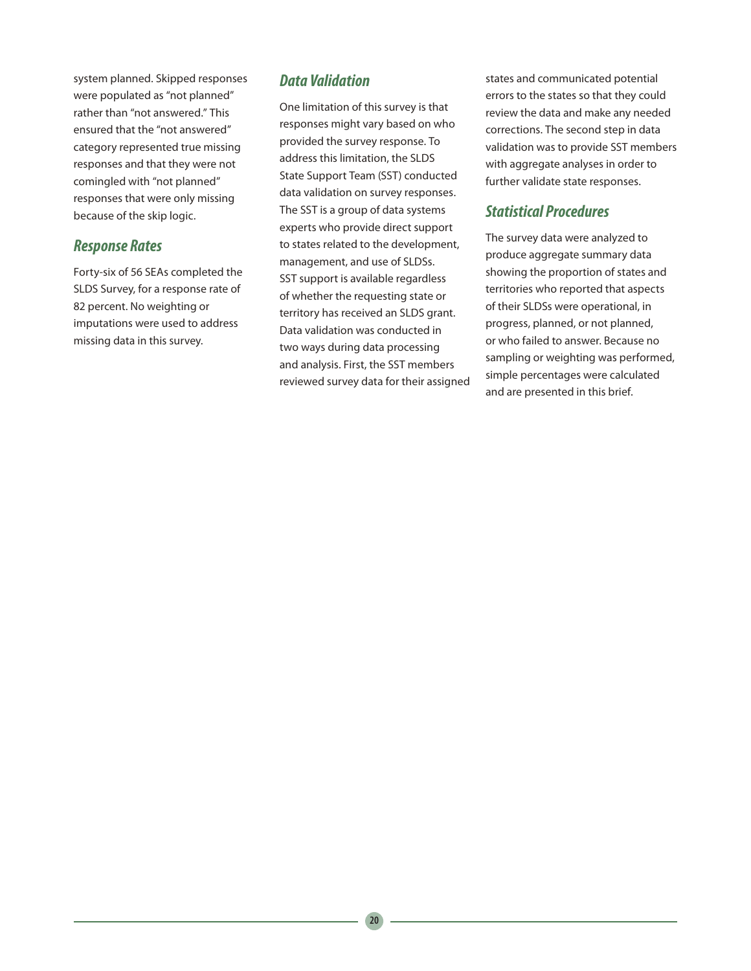system planned. Skipped responses were populated as "not planned" rather than "not answered." This ensured that the "not answered" category represented true missing responses and that they were not comingled with "not planned" responses that were only missing because of the skip logic.

## *Response Rates*

Forty-six of 56 SEAs completed the SLDS Survey, for a response rate of 82 percent. No weighting or imputations were used to address missing data in this survey.

### *Data Validation*

One limitation of this survey is that responses might vary based on who provided the survey response. To address this limitation, the SLDS State Support Team (SST) conducted data validation on survey responses. The SST is a group of data systems experts who provide direct support to states related to the development, management, and use of SLDSs. SST support is available regardless of whether the requesting state or territory has received an SLDS grant. Data validation was conducted in two ways during data processing and analysis. First, the SST members reviewed survey data for their assigned states and communicated potential errors to the states so that they could review the data and make any needed corrections. The second step in data validation was to provide SST members with aggregate analyses in order to further validate state responses.

### *Statistical Procedures*

The survey data were analyzed to produce aggregate summary data showing the proportion of states and territories who reported that aspects of their SLDSs were operational, in progress, planned, or not planned, or who failed to answer. Because no sampling or weighting was performed, simple percentages were calculated and are presented in this brief.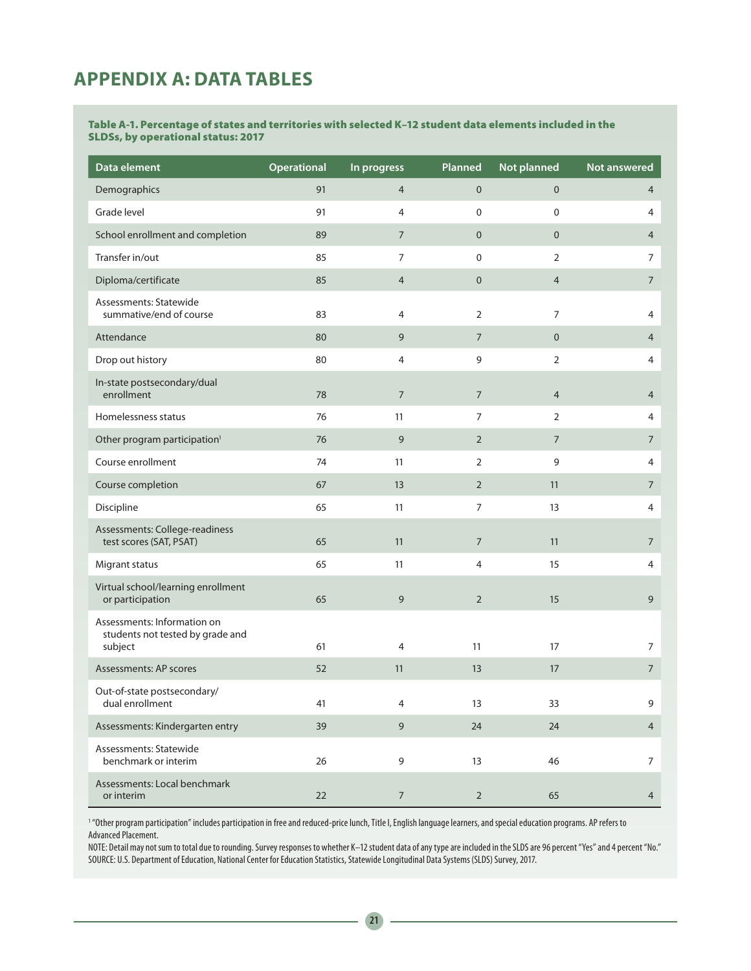## **APPENDIX A: DATA TABLES**

#### Table A-1. Percentage of states and territories with selected K–12 student data elements included in the SLDSs, by operational status: 2017

| Data element                                                               | <b>Operational</b> | In progress    | Planned          | Not planned    | Not answered   |
|----------------------------------------------------------------------------|--------------------|----------------|------------------|----------------|----------------|
| Demographics                                                               | 91                 | $\overline{4}$ | $\mathbf 0$      | $\mathbf 0$    | 4              |
| Grade level                                                                | 91                 | 4              | $\mathbf 0$      | 0              | 4              |
| School enrollment and completion                                           | 89                 | $\overline{7}$ | $\mathbf 0$      | $\mathbf 0$    | 4              |
| Transfer in/out                                                            | 85                 | 7              | $\boldsymbol{0}$ | $\overline{2}$ | 7              |
| Diploma/certificate                                                        | 85                 | $\overline{4}$ | $\mathbf 0$      | 4              | $\overline{7}$ |
| Assessments: Statewide<br>summative/end of course                          | 83                 | 4              | $\overline{2}$   | 7              | 4              |
| Attendance                                                                 | 80                 | 9              | 7                | $\mathbf 0$    | $\overline{4}$ |
| Drop out history                                                           | 80                 | 4              | 9                | $\overline{2}$ | 4              |
| In-state postsecondary/dual<br>enrollment                                  | 78                 | $\overline{7}$ | $\overline{7}$   | $\overline{4}$ | 4              |
| Homelessness status                                                        | 76                 | 11             | $\overline{7}$   | $\overline{2}$ | 4              |
| Other program participation <sup>1</sup>                                   | 76                 | 9              | $\overline{2}$   | $\overline{7}$ | 7              |
| Course enrollment                                                          | 74                 | 11             | 2                | 9              | 4              |
| Course completion                                                          | 67                 | 13             | $\overline{2}$   | 11             | 7              |
| Discipline                                                                 | 65                 | 11             | $\overline{7}$   | 13             | 4              |
| Assessments: College-readiness<br>test scores (SAT, PSAT)                  | 65                 | 11             | $\overline{7}$   | 11             | $\overline{7}$ |
| Migrant status                                                             | 65                 | 11             | 4                | 15             | 4              |
| Virtual school/learning enrollment<br>or participation                     | 65                 | 9              | $\overline{2}$   | 15             | 9              |
| Assessments: Information on<br>students not tested by grade and<br>subject | 61                 | 4              | 11               | 17             | 7              |
| Assessments: AP scores                                                     | 52                 | 11             | 13               | 17             | $\overline{7}$ |
| Out-of-state postsecondary/<br>dual enrollment                             | 41                 |                | 13               | 33             | 9              |
| Assessments: Kindergarten entry                                            | 39                 | 9              | 24               | 24             | $\overline{4}$ |
| Assessments: Statewide<br>benchmark or interim                             | 26                 | 9              | 13               | 46             | $\overline{7}$ |
| Assessments: Local benchmark<br>or interim                                 | 22                 | $\overline{7}$ | $\overline{2}$   | 65             | $\overline{4}$ |

1 "Other program participation" includes participation in free and reduced-price lunch, Title I, English language learners, and special education programs. AP refers to Advanced Placement.

NOTE: Detail may not sum to total due to rounding. Survey responses to whether K–12 student data of any type are included in the SLDS are 96 percent "Yes" and 4 percent "No." SOURCE: U.S. Department of Education, National Center for Education Statistics, Statewide Longitudinal Data Systems (SLDS) Survey, 2017.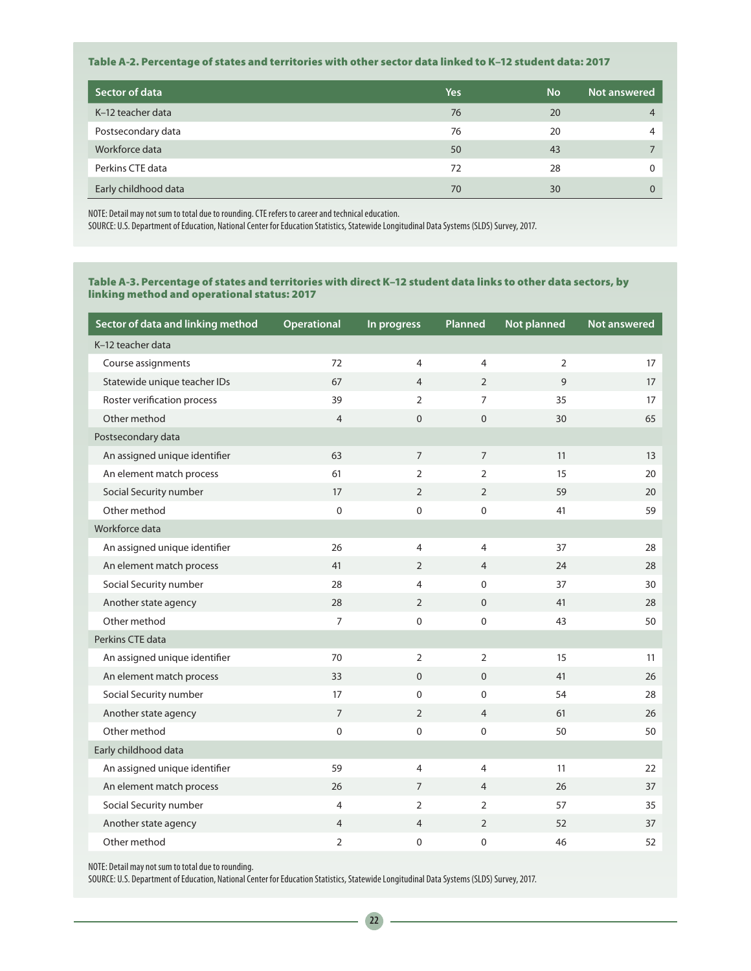#### Table A-2. Percentage of states and territories with other sector data linked to K–12 student data: 2017

| Sector of data       | Yes | <b>No</b> | Not answered |
|----------------------|-----|-----------|--------------|
| K-12 teacher data    | 76  | 20        |              |
| Postsecondary data   | 76  | 20        |              |
| Workforce data       | 50  | 43        |              |
| Perkins CTE data     | 72  | 28        |              |
| Early childhood data | 70  | 30        |              |

NOTE: Detail may not sum to total due to rounding. CTE refers to career and technical education.

SOURCE: U.S. Department of Education, National Center for Education Statistics, Statewide Longitudinal Data Systems (SLDS) Survey, 2017.

#### Table A-3. Percentage of states and territories with direct K–12 student data links to other data sectors, by linking method and operational status: 2017

| Sector of data and linking method | <b>Operational</b> | In progress    | Planned        | Not planned  | <b>Not answered</b> |
|-----------------------------------|--------------------|----------------|----------------|--------------|---------------------|
| K-12 teacher data                 |                    |                |                |              |                     |
| Course assignments                | 72                 | 4              | $\overline{4}$ | 2            | 17                  |
| Statewide unique teacher IDs      | 67                 | 4              | $\overline{2}$ | $\mathsf{Q}$ | 17                  |
| Roster verification process       | 39                 | $\overline{2}$ | $\overline{7}$ | 35           | 17                  |
| Other method                      | $\overline{4}$     | $\mathbf{0}$   | $\mathbf{0}$   | 30           | 65                  |
| Postsecondary data                |                    |                |                |              |                     |
| An assigned unique identifier     | 63                 | $\overline{7}$ | $\overline{7}$ | 11           | 13                  |
| An element match process          | 61                 | $\overline{2}$ | $\overline{2}$ | 15           | 20                  |
| Social Security number            | 17                 | $\overline{2}$ | 2              | 59           | 20                  |
| Other method                      | $\mathbf 0$        | 0              | $\mathbf 0$    | 41           | 59                  |
| Workforce data                    |                    |                |                |              |                     |
| An assigned unique identifier     | 26                 | 4              | $\overline{4}$ | 37           | 28                  |
| An element match process          | 41                 | $\overline{2}$ | $\overline{4}$ | 24           | 28                  |
| Social Security number            | 28                 | $\overline{4}$ | $\mathbf 0$    | 37           | 30                  |
| Another state agency              | 28                 | $\overline{2}$ | $\Omega$       | 41           | 28                  |
| Other method                      | $\overline{7}$     | $\Omega$       | $\mathbf{0}$   | 43           | 50                  |
| Perkins CTE data                  |                    |                |                |              |                     |
| An assigned unique identifier     | 70                 | 2              | $\overline{2}$ | 15           | 11                  |
| An element match process          | 33                 | $\Omega$       | $\Omega$       | 41           | 26                  |
| Social Security number            | 17                 | $\Omega$       | $\Omega$       | 54           | 28                  |
| Another state agency              | $\overline{7}$     | $\overline{2}$ | $\overline{4}$ | 61           | 26                  |
| Other method                      | $\mathbf 0$        | $\Omega$       | $\mathbf 0$    | 50           | 50                  |
| Early childhood data              |                    |                |                |              |                     |
| An assigned unique identifier     | 59                 | 4              | $\overline{4}$ | 11           | 22                  |
| An element match process          | 26                 | $\overline{7}$ | $\overline{4}$ | 26           | 37                  |
| Social Security number            | $\overline{4}$     | $\overline{2}$ | $\overline{2}$ | 57           | 35                  |
| Another state agency              | $\overline{4}$     | $\overline{4}$ | $\overline{2}$ | 52           | 37                  |
| Other method                      | $\overline{2}$     | 0              | $\mathbf 0$    | 46           | 52                  |

NOTE: Detail may not sum to total due to rounding.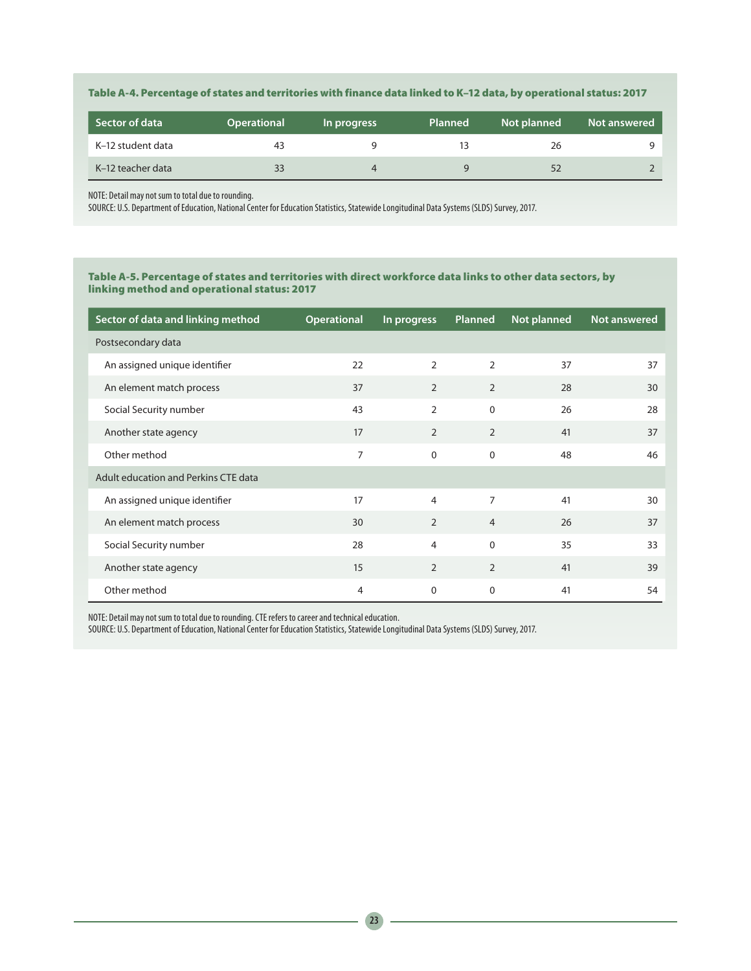### Table A-4. Percentage of states and territories with finance data linked to K–12 data, by operational status: 2017

| <b>Sector of data</b> | <b>Operational</b> | In progress | <b>Planned</b> | Not planned | Not answered |
|-----------------------|--------------------|-------------|----------------|-------------|--------------|
| K-12 student data     | 43                 |             |                | 26          |              |
| K-12 teacher data     | 33                 |             |                |             |              |

NOTE: Detail may not sum to total due to rounding.

SOURCE: U.S. Department of Education, National Center for Education Statistics, Statewide Longitudinal Data Systems (SLDS) Survey, 2017.

### Table A-5. Percentage of states and territories with direct workforce data links to other data sectors, by linking method and operational status: 2017

| Sector of data and linking method    | <b>Operational</b> | In progress    | Planned        | Not planned | <b>Not answered</b> |
|--------------------------------------|--------------------|----------------|----------------|-------------|---------------------|
| Postsecondary data                   |                    |                |                |             |                     |
| An assigned unique identifier        | 22                 | $\overline{2}$ | $\overline{2}$ | 37          | 37                  |
| An element match process             | 37                 | 2              | 2              | 28          | 30                  |
| Social Security number               | 43                 | 2              | 0              | 26          | 28                  |
| Another state agency                 | 17                 | 2              | 2              | 41          | 37                  |
| Other method                         | $\overline{7}$     | $\Omega$       | $\mathbf 0$    | 48          | 46                  |
| Adult education and Perkins CTE data |                    |                |                |             |                     |
| An assigned unique identifier        | 17                 | 4              | $\overline{7}$ | 41          | 30                  |
| An element match process             | 30                 | $\overline{2}$ | $\overline{4}$ | 26          | 37                  |
| Social Security number               | 28                 | 4              | $\Omega$       | 35          | 33                  |
| Another state agency                 | 15                 | $\overline{2}$ | $\overline{2}$ | 41          | 39                  |
| Other method                         | $\overline{4}$     | $\Omega$       | $\Omega$       | 41          | 54                  |

NOTE: Detail may not sum to total due to rounding. CTE refers to career and technical education.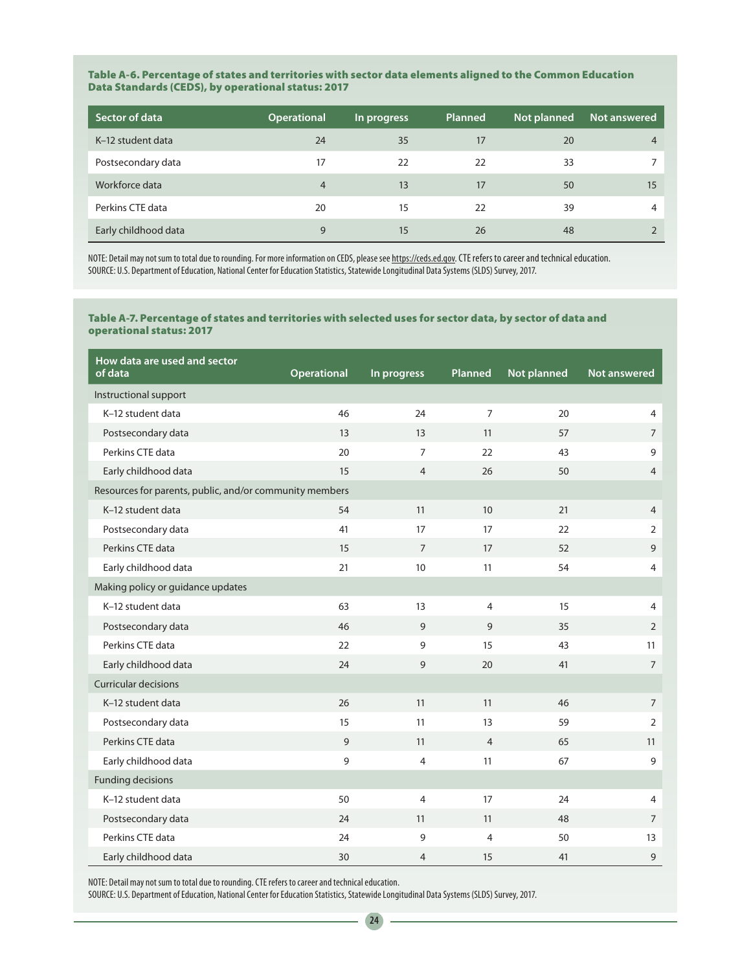#### Table A-6. Percentage of states and territories with sector data elements aligned to the Common Education Data Standards (CEDS), by operational status: 2017

| Sector of data       | <b>Operational</b> | In progress | <b>Planned</b> | Not planned | Not answered |
|----------------------|--------------------|-------------|----------------|-------------|--------------|
| K-12 student data    | 24                 | 35          | 17             | 20          |              |
| Postsecondary data   | 17                 | 22          | 22             | 33          |              |
| Workforce data       | 4                  | 13          | 17             | 50          | 15           |
| Perkins CTE data     | 20                 | 15          | 22             | 39          | 4            |
| Early childhood data | 9                  | 15          | 26             | 48          |              |

NOTE: Detail may not sum to total due to rounding. For more information on CEDS, please see <https://ceds.ed.gov.>CTE refers to career and technical education. SOURCE: U.S. Department of Education, National Center for Education Statistics, Statewide Longitudinal Data Systems (SLDS) Survey, 2017.

#### Table A-7. Percentage of states and territories with selected uses for sector data, by sector of data and operational status: 2017

| How data are used and sector<br>of data                 | <b>Operational</b> | In progress    | Planned        | Not planned | <b>Not answered</b> |
|---------------------------------------------------------|--------------------|----------------|----------------|-------------|---------------------|
| Instructional support                                   |                    |                |                |             |                     |
| K-12 student data                                       | 46                 | 24             | $\overline{7}$ | 20          | $\overline{4}$      |
| Postsecondary data                                      | 13                 | 13             | 11             | 57          | $\overline{7}$      |
| Perkins CTE data                                        | 20                 | $\overline{7}$ | 22             | 43          | 9                   |
| Early childhood data                                    | 15                 | 4              | 26             | 50          | $\overline{4}$      |
| Resources for parents, public, and/or community members |                    |                |                |             |                     |
| K-12 student data                                       | 54                 | 11             | 10             | 21          | 4                   |
| Postsecondary data                                      | 41                 | 17             | 17             | 22          | $\overline{2}$      |
| Perkins CTE data                                        | 15                 | $\overline{7}$ | 17             | 52          | 9                   |
| Early childhood data                                    | 21                 | 10             | 11             | 54          | 4                   |
| Making policy or guidance updates                       |                    |                |                |             |                     |
| K-12 student data                                       | 63                 | 13             | $\overline{4}$ | 15          | $\overline{4}$      |
| Postsecondary data                                      | 46                 | 9              | 9              | 35          | $\overline{2}$      |
| Perkins CTE data                                        | 22                 | 9              | 15             | 43          | 11                  |
| Early childhood data                                    | 24                 | 9              | 20             | 41          | $\overline{7}$      |
| <b>Curricular decisions</b>                             |                    |                |                |             |                     |
| K-12 student data                                       | 26                 | 11             | 11             | 46          | $\overline{7}$      |
| Postsecondary data                                      | 15                 | 11             | 13             | 59          | $\overline{2}$      |
| Perkins CTE data                                        | 9                  | 11             | $\overline{4}$ | 65          | 11                  |
| Early childhood data                                    | 9                  | $\overline{4}$ | 11             | 67          | 9                   |
| <b>Funding decisions</b>                                |                    |                |                |             |                     |
| K-12 student data                                       | 50                 | 4              | 17             | 24          | 4                   |
| Postsecondary data                                      | 24                 | 11             | 11             | 48          | $\overline{7}$      |
| Perkins CTE data                                        | 24                 | 9              | $\overline{4}$ | 50          | 13                  |
| Early childhood data                                    | 30                 | 4              | 15             | 41          | 9                   |

NOTE: Detail may not sum to total due to rounding. CTE refers to career and technical education.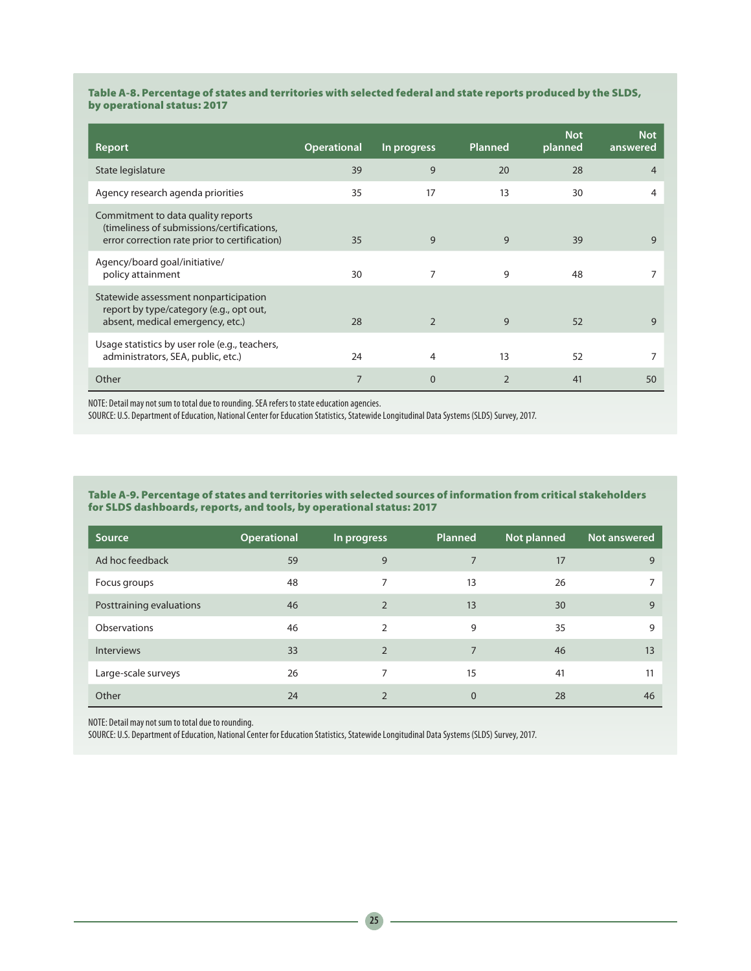#### Table A-8. Percentage of states and territories with selected federal and state reports produced by the SLDS, by operational status: 2017

| Report                                                                                                                            | <b>Operational</b> | In progress    | <b>Planned</b> | <b>Not</b><br>planned | <b>Not</b><br>answered |
|-----------------------------------------------------------------------------------------------------------------------------------|--------------------|----------------|----------------|-----------------------|------------------------|
| State legislature                                                                                                                 | 39                 | 9              | 20             | 28                    | 4                      |
| Agency research agenda priorities                                                                                                 | 35                 | 17             | 13             | 30                    | 4                      |
| Commitment to data quality reports<br>(timeliness of submissions/certifications,<br>error correction rate prior to certification) | 35                 | 9              | 9              | 39                    | 9                      |
| Agency/board goal/initiative/<br>policy attainment                                                                                | 30                 | 7              | 9              | 48                    |                        |
| Statewide assessment nonparticipation<br>report by type/category (e.g., opt out,<br>absent, medical emergency, etc.)              | 28                 | $\overline{2}$ | 9              | 52                    | 9                      |
| Usage statistics by user role (e.g., teachers,<br>administrators, SEA, public, etc.)                                              | 24                 | 4              | 13             | 52                    |                        |
| Other                                                                                                                             | 7                  | $\mathbf 0$    | $\overline{2}$ | 41                    | 50                     |

NOTE: Detail may not sum to total due to rounding. SEA refers to state education agencies.

SOURCE: U.S. Department of Education, National Center for Education Statistics, Statewide Longitudinal Data Systems (SLDS) Survey, 2017.

#### Table A-9. Percentage of states and territories with selected sources of information from critical stakeholders for SLDS dashboards, reports, and tools, by operational status: 2017

| Source                   | <b>Operational</b> | In progress    | Planned  | Not planned | Not answered |
|--------------------------|--------------------|----------------|----------|-------------|--------------|
| Ad hoc feedback          | 59                 | 9              |          | 17          | $\mathsf{Q}$ |
| Focus groups             | 48                 | 7              | 13       | 26          |              |
| Posttraining evaluations | 46                 | $\overline{2}$ | 13       | 30          | 9            |
| Observations             | 46                 | $\mathcal{P}$  | 9        | 35          | 9            |
| <b>Interviews</b>        | 33                 | $\overline{2}$ | 7        | 46          | 13           |
| Large-scale surveys      | 26                 | 7              | 15       | 41          | 11           |
| Other                    | 24                 | $\mathfrak{D}$ | $\Omega$ | 28          | 46           |

NOTE: Detail may not sum to total due to rounding.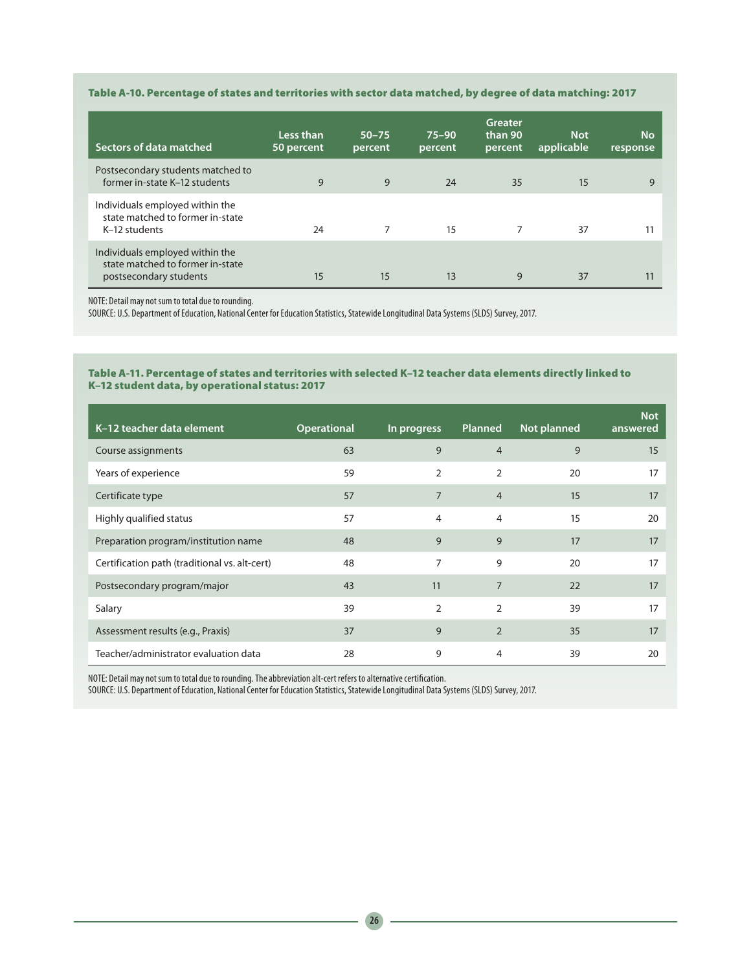### Table A-10. Percentage of states and territories with sector data matched, by degree of data matching: 2017

| Sectors of data matched                                                                       | Less than<br>50 percent | $50 - 75$<br>percent | $75 - 90$<br>percent | Greater<br>than 90<br>percent | <b>Not</b><br>applicable | <b>No</b><br>response |
|-----------------------------------------------------------------------------------------------|-------------------------|----------------------|----------------------|-------------------------------|--------------------------|-----------------------|
| Postsecondary students matched to<br>former in-state K-12 students                            | 9                       | 9                    | 24                   | 35                            | 15                       | 9                     |
| Individuals employed within the<br>state matched to former in-state<br>K-12 students          | 24                      |                      | 15                   | 7                             | 37                       | 11                    |
| Individuals employed within the<br>state matched to former in-state<br>postsecondary students | 15                      | 15                   | 13                   | 9                             | 37                       | 11                    |

NOTE: Detail may not sum to total due to rounding.

SOURCE: U.S. Department of Education, National Center for Education Statistics, Statewide Longitudinal Data Systems (SLDS) Survey, 2017.

#### Table A-11. Percentage of states and territories with selected K–12 teacher data elements directly linked to K–12 student data, by operational status: 2017

| K-12 teacher data element                     | <b>Operational</b> | In progress    | <b>Planned</b> | <b>Not planned</b> | <b>Not</b><br>answered |
|-----------------------------------------------|--------------------|----------------|----------------|--------------------|------------------------|
| Course assignments                            | 63                 | 9              | $\overline{4}$ | 9                  | 15                     |
| Years of experience                           | 59                 | 2              | 2              | 20                 | 17                     |
| Certificate type                              | 57                 | $\overline{7}$ | $\overline{4}$ | 15                 | 17                     |
| Highly qualified status                       | 57                 | 4              | 4              | 15                 | 20                     |
| Preparation program/institution name          | 48                 | 9              | 9              | 17                 | 17                     |
| Certification path (traditional vs. alt-cert) | 48                 | 7              | 9              | 20                 | 17                     |
| Postsecondary program/major                   | 43                 | 11             | $\overline{7}$ | 22                 | 17                     |
| Salary                                        | 39                 | $\overline{2}$ | $\overline{2}$ | 39                 | 17                     |
| Assessment results (e.g., Praxis)             | 37                 | 9              | $\overline{2}$ | 35                 | 17                     |
| Teacher/administrator evaluation data         | 28                 | 9              | $\overline{4}$ | 39                 | 20                     |

NOTE: Detail may not sum to total due to rounding. The abbreviation alt-cert refers to alternative certification.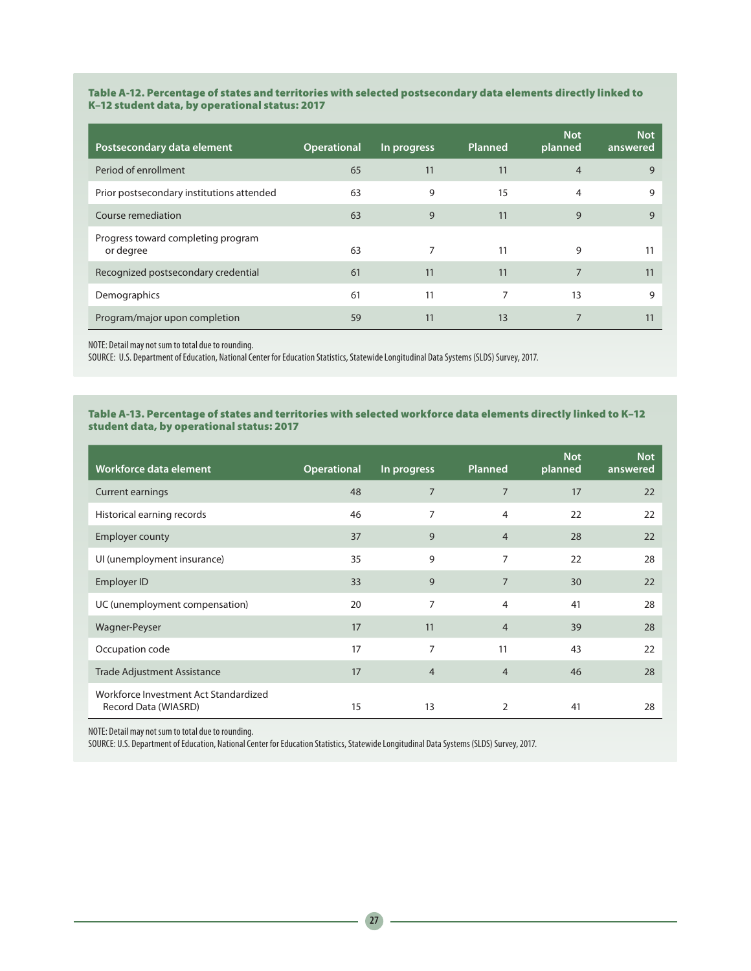#### Table A-12. Percentage of states and territories with selected postsecondary data elements directly linked to K–12 student data, by operational status: 2017

| Postsecondary data element                      | <b>Operational</b> | In progress | Planned | <b>Not</b><br>planned | <b>Not</b><br>answered |
|-------------------------------------------------|--------------------|-------------|---------|-----------------------|------------------------|
| Period of enrollment                            | 65                 | 11          | 11      | $\overline{4}$        | 9                      |
| Prior postsecondary institutions attended       | 63                 | 9           | 15      | $\overline{4}$        | 9                      |
| Course remediation                              | 63                 | 9           | 11      | 9                     | 9                      |
| Progress toward completing program<br>or degree | 63                 | 7           | 11      | 9                     | 11                     |
| Recognized postsecondary credential             | 61                 | 11          | 11      | $\overline{7}$        | 11                     |
| Demographics                                    | 61                 | 11          | 7       | 13                    | 9                      |
| Program/major upon completion                   | 59                 | 11          | 13      | $\overline{7}$        | 11                     |

NOTE: Detail may not sum to total due to rounding.

SOURCE: U.S. Department of Education, National Center for Education Statistics, Statewide Longitudinal Data Systems (SLDS) Survey, 2017.

### Table A-13. Percentage of states and territories with selected workforce data elements directly linked to K–12 student data, by operational status: 2017

| Workforce data element                                        | <b>Operational</b> | In progress    | <b>Planned</b> | <b>Not</b><br>planned | <b>Not</b><br>answered |
|---------------------------------------------------------------|--------------------|----------------|----------------|-----------------------|------------------------|
| <b>Current earnings</b>                                       | 48                 | $\overline{7}$ | $\overline{7}$ | 17                    | 22                     |
| Historical earning records                                    | 46                 | 7              | 4              | 22                    | 22                     |
| <b>Employer county</b>                                        | 37                 | 9              | $\overline{4}$ | 28                    | 22                     |
| UI (unemployment insurance)                                   | 35                 | 9              | 7              | 22                    | 28                     |
| Employer ID                                                   | 33                 | 9              | $\overline{7}$ | 30                    | 22                     |
| UC (unemployment compensation)                                | 20                 | $\overline{7}$ | 4              | 41                    | 28                     |
| Wagner-Peyser                                                 | 17                 | 11             | $\overline{4}$ | 39                    | 28                     |
| Occupation code                                               | 17                 | 7              | 11             | 43                    | 22                     |
| <b>Trade Adjustment Assistance</b>                            | 17                 | $\overline{4}$ | $\overline{4}$ | 46                    | 28                     |
| Workforce Investment Act Standardized<br>Record Data (WIASRD) | 15                 | 13             | 2              | 41                    | 28                     |

NOTE: Detail may not sum to total due to rounding.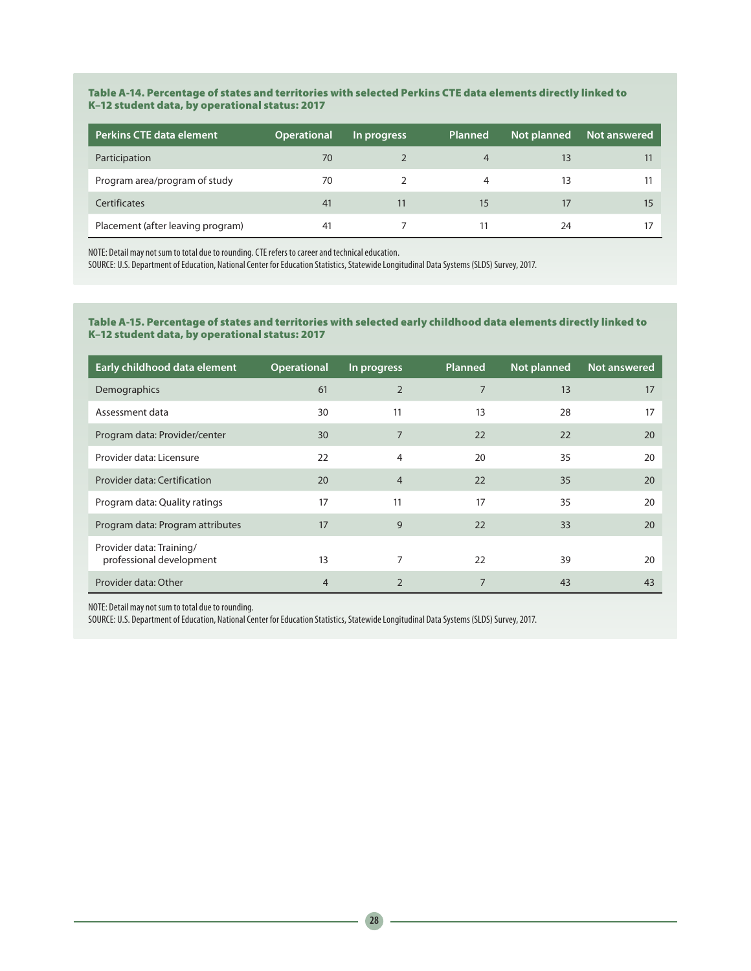#### Table A-14. Percentage of states and territories with selected Perkins CTE data elements directly linked to K–12 student data, by operational status: 2017

| <b>Perkins CTE data element</b>   | <b>Operational</b> | In progress | Planned | Not planned | Not answered |
|-----------------------------------|--------------------|-------------|---------|-------------|--------------|
| Participation                     | 70                 |             |         |             |              |
| Program area/program of study     | 70                 |             | 4       | 13          |              |
| Certificates                      | 41                 | 11          | 15      |             |              |
| Placement (after leaving program) | 41                 |             |         | 24          |              |

NOTE: Detail may not sum to total due to rounding. CTE refers to career and technical education.

SOURCE: U.S. Department of Education, National Center for Education Statistics, Statewide Longitudinal Data Systems (SLDS) Survey, 2017.

#### Table A-15. Percentage of states and territories with selected early childhood data elements directly linked to K–12 student data, by operational status: 2017

| Early childhood data element                         | <b>Operational</b> | In progress    | Planned | <b>Not planned</b> | Not answered |
|------------------------------------------------------|--------------------|----------------|---------|--------------------|--------------|
| Demographics                                         | 61                 | $\overline{2}$ | 7       | 13                 | 17           |
| Assessment data                                      | 30                 | 11             | 13      | 28                 | 17           |
| Program data: Provider/center                        | 30                 | $\overline{7}$ | 22      | 22                 | 20           |
| Provider data: Licensure                             | 22                 | $\overline{4}$ | 20      | 35                 | 20           |
| Provider data: Certification                         | 20                 | $\overline{4}$ | 22      | 35                 | 20           |
| Program data: Quality ratings                        | 17                 | 11             | 17      | 35                 | 20           |
| Program data: Program attributes                     | 17                 | 9              | 22      | 33                 | 20           |
| Provider data: Training/<br>professional development | 13                 |                | 22      | 39                 | 20           |
| Provider data: Other                                 | $\overline{4}$     | $\overline{2}$ | 7       | 43                 | 43           |

NOTE: Detail may not sum to total due to rounding.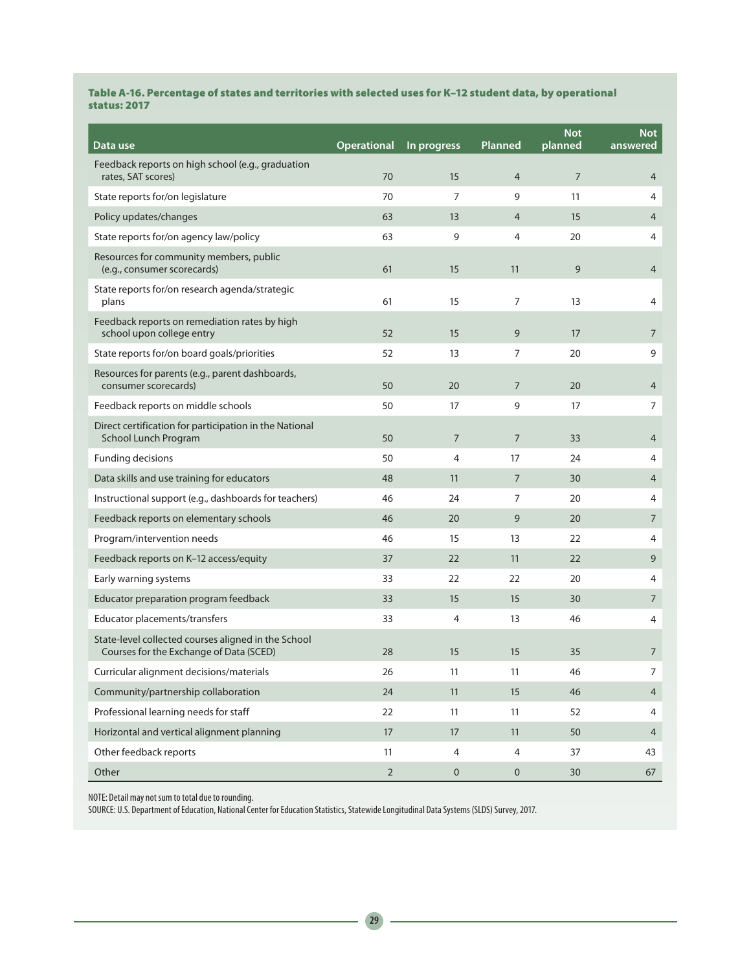#### Table A-16. Percentage of states and territories with selected uses for K–12 student data, by operational status: 2017

| Data use                                                                                       | <b>Operational</b> | In progress    | Planned        | <b>Not</b><br>planned | <b>Not</b><br>answered |
|------------------------------------------------------------------------------------------------|--------------------|----------------|----------------|-----------------------|------------------------|
| Feedback reports on high school (e.g., graduation<br>rates, SAT scores)                        | 70                 | 15             | $\overline{4}$ | $\overline{7}$        | $\overline{4}$         |
| State reports for/on legislature                                                               | 70                 | $\overline{7}$ | 9              | 11                    | 4                      |
| Policy updates/changes                                                                         | 63                 | 13             | $\overline{4}$ | 15                    | $\overline{4}$         |
| State reports for/on agency law/policy                                                         | 63                 | 9              | 4              | 20                    | 4                      |
| Resources for community members, public<br>(e.g., consumer scorecards)                         | 61                 | 15             | 11             | 9                     | $\overline{4}$         |
| State reports for/on research agenda/strategic<br>plans                                        | 61                 | 15             | $\overline{7}$ | 13                    | 4                      |
| Feedback reports on remediation rates by high<br>school upon college entry                     | 52                 | 15             | 9              | 17                    | 7                      |
| State reports for/on board goals/priorities                                                    | 52                 | 13             | 7              | 20                    | 9                      |
| Resources for parents (e.g., parent dashboards,<br>consumer scorecards)                        | 50                 | 20             | $\overline{7}$ | 20                    | $\overline{4}$         |
| Feedback reports on middle schools                                                             | 50                 | 17             | 9              | 17                    | 7                      |
| Direct certification for participation in the National<br>School Lunch Program                 | 50                 | $\overline{7}$ | $\overline{7}$ | 33                    | 4                      |
| Funding decisions                                                                              | 50                 | 4              | 17             | 24                    | 4                      |
| Data skills and use training for educators                                                     | 48                 | 11             | $\overline{7}$ | 30                    | $\overline{4}$         |
| Instructional support (e.g., dashboards for teachers)                                          | 46                 | 24             | 7              | 20                    | 4                      |
| Feedback reports on elementary schools                                                         | 46                 | 20             | 9              | 20                    | $\overline{7}$         |
| Program/intervention needs                                                                     | 46                 | 15             | 13             | 22                    | 4                      |
| Feedback reports on K-12 access/equity                                                         | 37                 | 22             | 11             | 22                    | 9                      |
| Early warning systems                                                                          | 33                 | 22             | 22             | 20                    | 4                      |
| Educator preparation program feedback                                                          | 33                 | 15             | 15             | 30                    | 7                      |
| Educator placements/transfers                                                                  | 33                 | 4              | 13             | 46                    | 4                      |
| State-level collected courses aligned in the School<br>Courses for the Exchange of Data (SCED) | 28                 | 15             | 15             | 35                    | $\overline{7}$         |
| Curricular alignment decisions/materials                                                       | 26                 | 11             | 11             | 46                    | 7                      |
| Community/partnership collaboration                                                            | 24                 | 11             | 15             | 46                    | $\overline{4}$         |
| Professional learning needs for staff                                                          | 22                 | 11             | 11             | 52                    | 4                      |
| Horizontal and vertical alignment planning                                                     | 17                 | 17             | 11             | 50                    | $\overline{4}$         |
| Other feedback reports                                                                         | 11                 | 4              | 4              | 37                    | 43                     |
| Other                                                                                          | $\overline{2}$     | $\pmb{0}$      | $\mathbf 0$    | 30                    | 67                     |

NOTE: Detail may not sum to total due to rounding.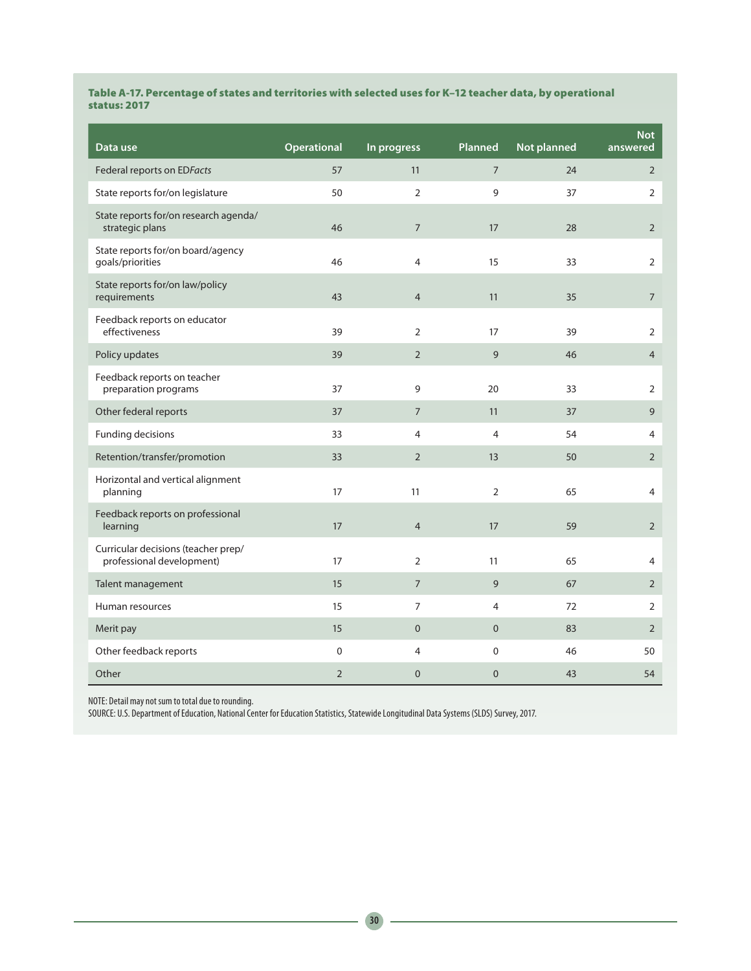#### Table A-17. Percentage of states and territories with selected uses for K–12 teacher data, by operational status: 2017

| Data use                                                         | Operational    | In progress    | Planned        | Not planned | <b>Not</b><br>answered |
|------------------------------------------------------------------|----------------|----------------|----------------|-------------|------------------------|
| Federal reports on EDFacts                                       | 57             | 11             | $\overline{7}$ | 24          | $\overline{2}$         |
| State reports for/on legislature                                 | 50             | $\overline{2}$ | 9              | 37          | $\mathbf 2$            |
| State reports for/on research agenda/<br>strategic plans         | 46             | $\overline{7}$ | 17             | 28          | $\overline{2}$         |
| State reports for/on board/agency<br>goals/priorities            | 46             | 4              | 15             | 33          | $\overline{2}$         |
| State reports for/on law/policy<br>requirements                  | 43             | $\overline{4}$ | 11             | 35          | $\overline{7}$         |
| Feedback reports on educator<br>effectiveness                    | 39             | $\overline{2}$ | 17             | 39          | $\overline{2}$         |
| Policy updates                                                   | 39             | $\overline{2}$ | 9              | 46          | $\overline{4}$         |
| Feedback reports on teacher<br>preparation programs              | 37             | 9              | 20             | 33          | $\overline{2}$         |
| Other federal reports                                            | 37             | $\overline{7}$ | 11             | 37          | 9                      |
| <b>Funding decisions</b>                                         | 33             | $\overline{4}$ | $\overline{4}$ | 54          | 4                      |
| Retention/transfer/promotion                                     | 33             | $\overline{2}$ | 13             | 50          | $\overline{2}$         |
| Horizontal and vertical alignment<br>planning                    | 17             | 11             | 2              | 65          | $\overline{4}$         |
| Feedback reports on professional<br>learning                     | 17             | $\overline{4}$ | 17             | 59          | $\overline{2}$         |
| Curricular decisions (teacher prep/<br>professional development) | 17             | $\overline{2}$ | 11             | 65          | $\overline{4}$         |
| Talent management                                                | 15             | $\overline{7}$ | 9              | 67          | $\overline{2}$         |
| Human resources                                                  | 15             | $\overline{7}$ | 4              | 72          | $\overline{2}$         |
| Merit pay                                                        | 15             | $\mathbf{0}$   | $\overline{0}$ | 83          | $\overline{2}$         |
| Other feedback reports                                           | $\pmb{0}$      | $\overline{4}$ | 0              | 46          | 50                     |
| Other                                                            | $\overline{2}$ | $\overline{0}$ | $\overline{0}$ | 43          | 54                     |

NOTE: Detail may not sum to total due to rounding.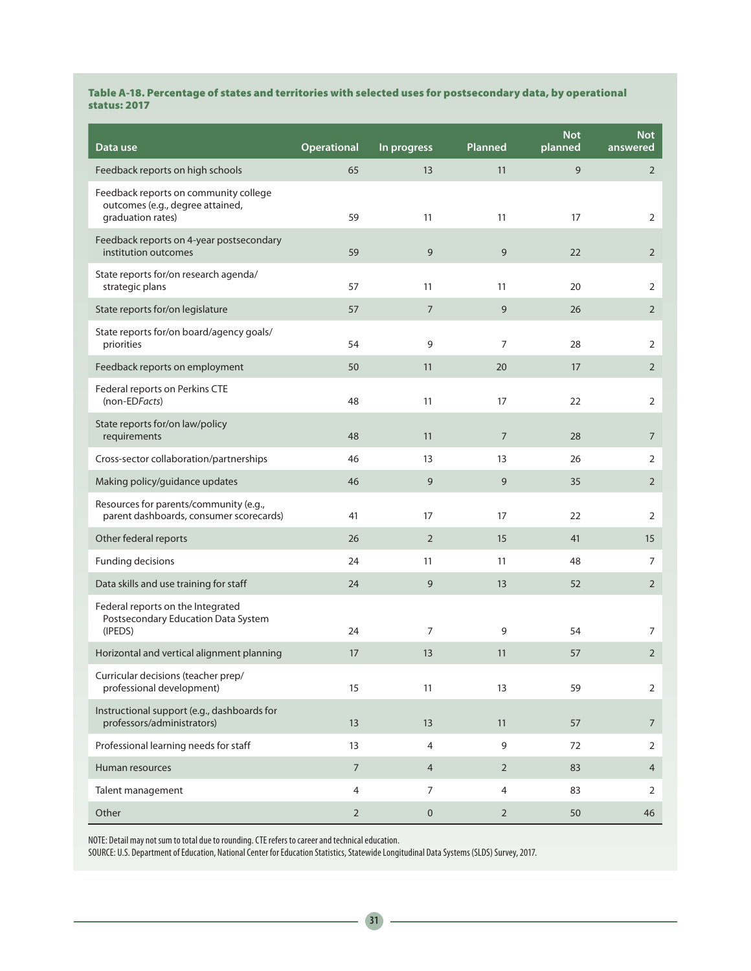#### Table A-18. Percentage of states and territories with selected uses for postsecondary data, by operational status: 2017

| Data use                                                                                       | Operational    | In progress    | Planned        | <b>Not</b><br>planned | <b>Not</b><br>answered |
|------------------------------------------------------------------------------------------------|----------------|----------------|----------------|-----------------------|------------------------|
| Feedback reports on high schools                                                               | 65             | 13             | 11             | 9                     | $\overline{2}$         |
| Feedback reports on community college<br>outcomes (e.g., degree attained,<br>graduation rates) | 59             | 11             | 11             | 17                    | 2                      |
| Feedback reports on 4-year postsecondary<br>institution outcomes                               | 59             | 9              | 9              | 22                    | $\overline{2}$         |
| State reports for/on research agenda/<br>strategic plans                                       | 57             | 11             | 11             | 20                    | 2                      |
| State reports for/on legislature                                                               | 57             | $\overline{7}$ | 9              | 26                    | $\overline{2}$         |
| State reports for/on board/agency goals/<br>priorities                                         | 54             | 9              | $\overline{7}$ | 28                    | $\overline{2}$         |
| Feedback reports on employment                                                                 | 50             | 11             | 20             | 17                    | $\overline{2}$         |
| Federal reports on Perkins CTE<br>(non-EDFacts)                                                | 48             | 11             | 17             | 22                    | 2                      |
| State reports for/on law/policy<br>requirements                                                | 48             | 11             | $\overline{7}$ | 28                    | $\overline{7}$         |
| Cross-sector collaboration/partnerships                                                        | 46             | 13             | 13             | 26                    | 2                      |
| Making policy/guidance updates                                                                 | 46             | 9              | 9              | 35                    | $\overline{2}$         |
| Resources for parents/community (e.g.,<br>parent dashboards, consumer scorecards)              | 41             | 17             | 17             | 22                    | 2                      |
| Other federal reports                                                                          | 26             | $\overline{2}$ | 15             | 41                    | 15                     |
| Funding decisions                                                                              | 24             | 11             | 11             | 48                    | 7                      |
| Data skills and use training for staff                                                         | 24             | 9              | 13             | 52                    | $\overline{2}$         |
| Federal reports on the Integrated<br>Postsecondary Education Data System<br>(IPEDS)            | 24             | $\overline{7}$ | 9              | 54                    | 7                      |
| Horizontal and vertical alignment planning                                                     | 17             | 13             | 11             | 57                    | $\overline{2}$         |
| Curricular decisions (teacher prep/<br>professional development)                               | 15             | 11             | 13             | 59                    | $\overline{2}$         |
| Instructional support (e.g., dashboards for<br>professors/administrators)                      | 13             | 13             | 11             | 57                    | $\overline{7}$         |
| Professional learning needs for staff                                                          | 13             | 4              | 9              | 72                    | 2                      |
| Human resources                                                                                | $\overline{7}$ | $\overline{4}$ | $\overline{2}$ | 83                    | $\overline{4}$         |
| Talent management                                                                              | 4              | 7              | 4              | 83                    | 2                      |
| Other                                                                                          | $\overline{2}$ | $\pmb{0}$      | $\overline{2}$ | 50                    | 46                     |

NOTE: Detail may not sum to total due to rounding. CTE refers to career and technical education.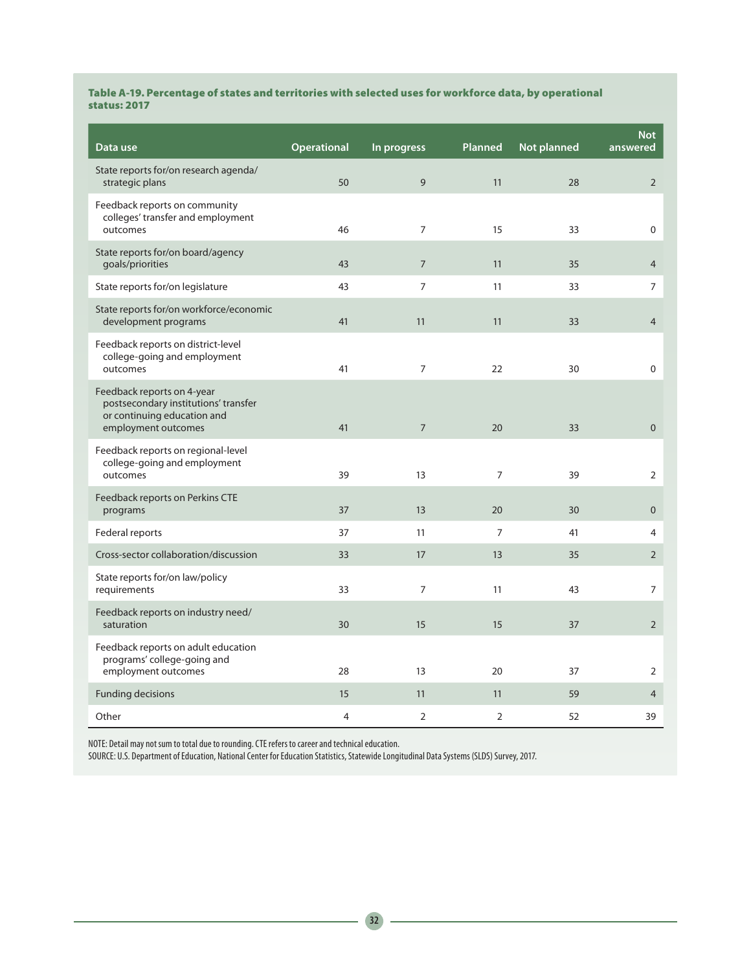### Table A-19. Percentage of states and territories with selected uses for workforce data, by operational status: 2017

| Data use                                                                                                                 | Operational | In progress    | Planned        | <b>Not planned</b> | <b>Not</b><br>answered |
|--------------------------------------------------------------------------------------------------------------------------|-------------|----------------|----------------|--------------------|------------------------|
| State reports for/on research agenda/<br>strategic plans                                                                 | 50          | 9              | 11             | 28                 | $\overline{2}$         |
| Feedback reports on community<br>colleges' transfer and employment<br>outcomes                                           | 46          | $\overline{7}$ | 15             | 33                 | 0                      |
| State reports for/on board/agency<br>goals/priorities                                                                    | 43          | $\overline{7}$ | 11             | 35                 | $\overline{4}$         |
| State reports for/on legislature                                                                                         | 43          | $\overline{7}$ | 11             | 33                 | $\overline{7}$         |
| State reports for/on workforce/economic<br>development programs                                                          | 41          | 11             | 11             | 33                 | $\overline{4}$         |
| Feedback reports on district-level<br>college-going and employment<br>outcomes                                           | 41          | $\overline{7}$ | 22             | 30                 | 0                      |
| Feedback reports on 4-year<br>postsecondary institutions' transfer<br>or continuing education and<br>employment outcomes | 41          | $\overline{7}$ | 20             | 33                 | $\mathbf 0$            |
| Feedback reports on regional-level<br>college-going and employment<br>outcomes                                           | 39          | 13             | $\overline{7}$ | 39                 | $\overline{2}$         |
| Feedback reports on Perkins CTE<br>programs                                                                              | 37          | 13             | 20             | 30                 | $\mathbf{0}$           |
| Federal reports                                                                                                          | 37          | 11             | $\overline{7}$ | 41                 | 4                      |
| Cross-sector collaboration/discussion                                                                                    | 33          | 17             | 13             | 35                 | $\overline{2}$         |
| State reports for/on law/policy<br>requirements                                                                          | 33          | $\overline{7}$ | 11             | 43                 | 7                      |
| Feedback reports on industry need/<br>saturation                                                                         | 30          | 15             | 15             | 37                 | $\overline{2}$         |
| Feedback reports on adult education<br>programs' college-going and<br>employment outcomes                                | 28          | 13             | 20             | 37                 | $\overline{2}$         |
| <b>Funding decisions</b>                                                                                                 | 15          | 11             | 11             | 59                 | $\overline{4}$         |
| Other                                                                                                                    | 4           | $\overline{2}$ | $\overline{2}$ | 52                 | 39                     |

NOTE: Detail may not sum to total due to rounding. CTE refers to career and technical education.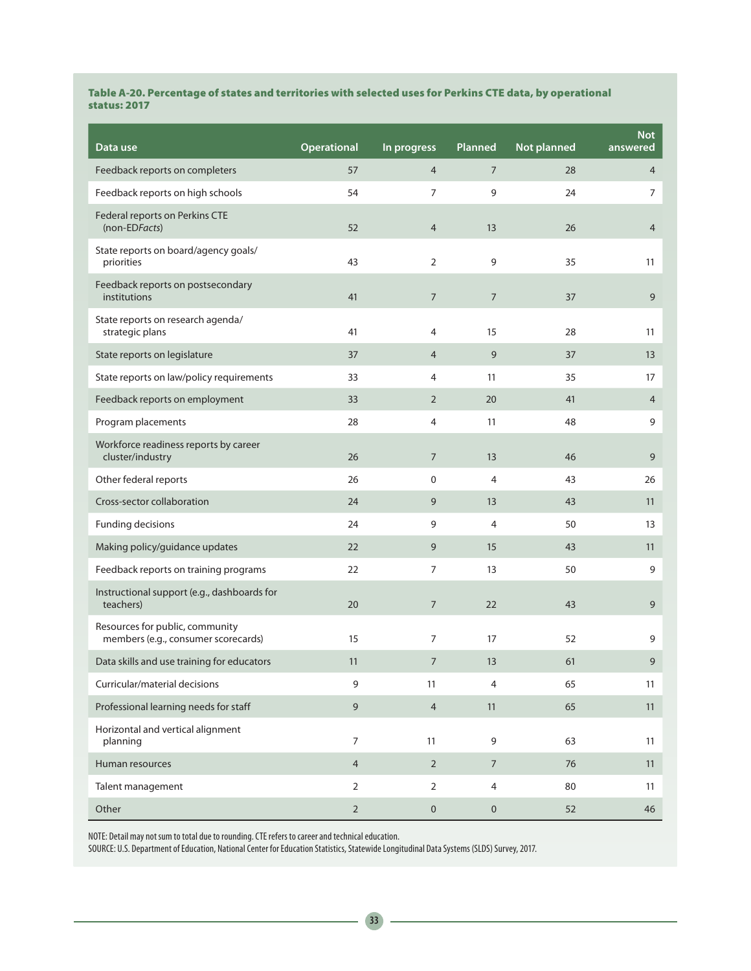### Table A-20. Percentage of states and territories with selected uses for Perkins CTE data, by operational status: 2017

| Data use                                                               | <b>Operational</b> | In progress      | Planned          | Not planned | <b>Not</b><br>answered |
|------------------------------------------------------------------------|--------------------|------------------|------------------|-------------|------------------------|
| Feedback reports on completers                                         | 57                 | $\overline{4}$   | $\overline{7}$   | 28          | $\overline{4}$         |
| Feedback reports on high schools                                       | 54                 | $\overline{7}$   | 9                | 24          | $\overline{7}$         |
| Federal reports on Perkins CTE<br>(non-EDFacts)                        | 52                 | $\overline{4}$   | 13               | 26          | $\overline{4}$         |
| State reports on board/agency goals/<br>priorities                     | 43                 | 2                | 9                | 35          | 11                     |
| Feedback reports on postsecondary<br>institutions                      | 41                 | $\boldsymbol{7}$ | $\boldsymbol{7}$ | 37          | 9                      |
| State reports on research agenda/<br>strategic plans                   | 41                 | 4                | 15               | 28          | 11                     |
| State reports on legislature                                           | 37                 | $\overline{4}$   | 9                | 37          | 13                     |
| State reports on law/policy requirements                               | 33                 | 4                | 11               | 35          | 17                     |
| Feedback reports on employment                                         | 33                 | $\overline{2}$   | 20               | 41          | $\overline{4}$         |
| Program placements                                                     | 28                 | $\overline{4}$   | 11               | 48          | 9                      |
| Workforce readiness reports by career<br>cluster/industry              | 26                 | $\boldsymbol{7}$ | 13               | 46          | 9                      |
| Other federal reports                                                  | 26                 | 0                | 4                | 43          | 26                     |
| Cross-sector collaboration                                             | 24                 | 9                | 13               | 43          | 11                     |
| Funding decisions                                                      | 24                 | 9                | 4                | 50          | 13                     |
| Making policy/guidance updates                                         | 22                 | 9                | 15               | 43          | 11                     |
| Feedback reports on training programs                                  | 22                 | $\overline{7}$   | 13               | 50          | 9                      |
| Instructional support (e.g., dashboards for<br>teachers)               | 20                 | $\sqrt{ }$       | 22               | 43          | 9                      |
| Resources for public, community<br>members (e.g., consumer scorecards) | 15                 | $\overline{7}$   | 17               | 52          | 9                      |
| Data skills and use training for educators                             | 11                 | 7                | 13               | 61          | 9                      |
| Curricular/material decisions                                          | 9                  | 11               | $\overline{4}$   | 65          | 11                     |
| Professional learning needs for staff                                  | 9                  | $\overline{4}$   | 11               | 65          | 11                     |
| Horizontal and vertical alignment<br>planning                          | $\overline{7}$     | 11               | 9                | 63          | 11                     |
| Human resources                                                        | $\overline{4}$     | $\overline{2}$   | $\boldsymbol{7}$ | 76          | 11                     |
| Talent management                                                      | $\overline{2}$     | 2                | $\overline{4}$   | 80          | 11                     |
| Other                                                                  | $\sqrt{2}$         | $\mathbf 0$      | $\mathbf 0$      | 52          | 46                     |

NOTE: Detail may not sum to total due to rounding. CTE refers to career and technical education.

SOURCE: U.S. Department of Education, National Center for Education Statistics, Statewide Longitudinal Data Systems (SLDS) Survey, 2017.

 $\overline{\phantom{a}}$